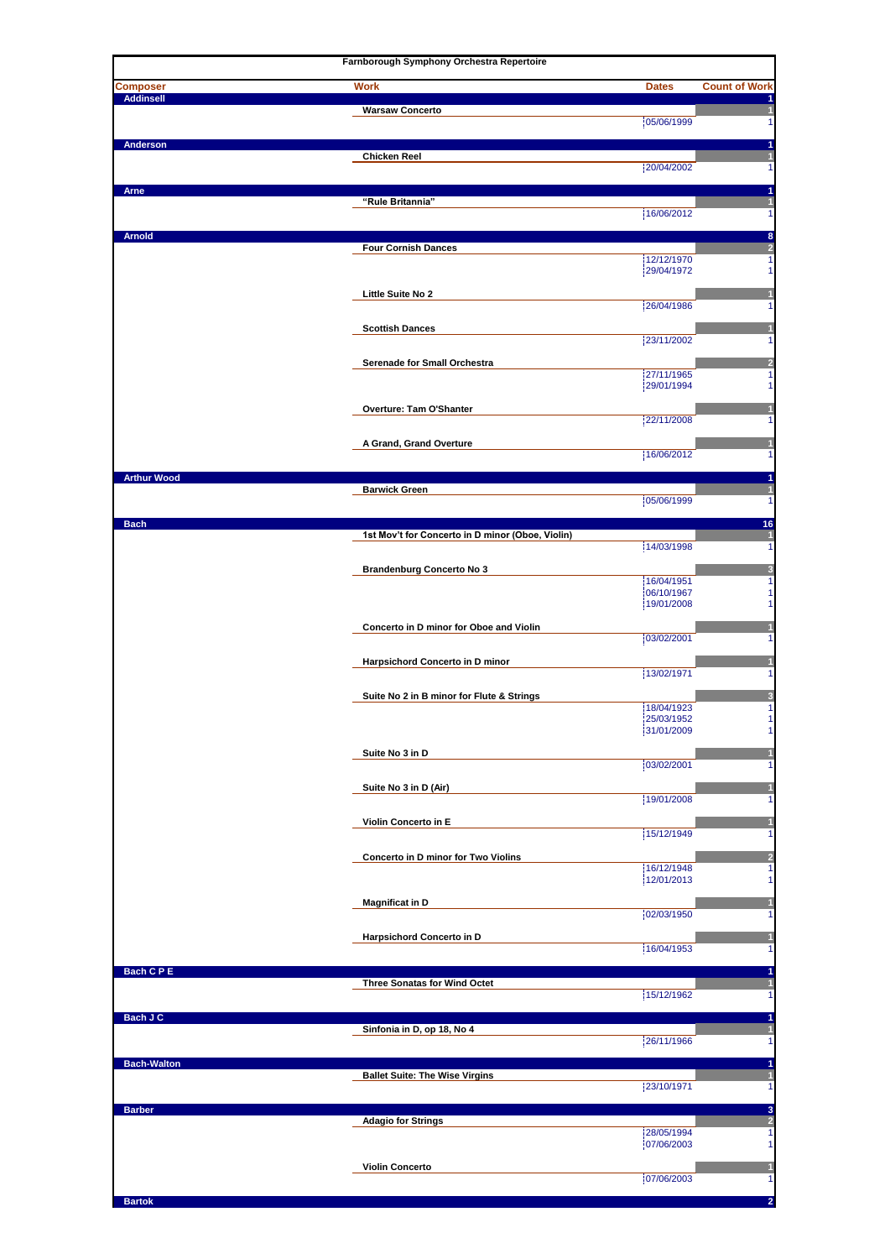|                                     | Farnborough Symphony Orchestra Repertoire        |                          |                                         |
|-------------------------------------|--------------------------------------------------|--------------------------|-----------------------------------------|
| <b>Composer</b><br><b>Addinsell</b> | <b>Work</b>                                      | <b>Dates</b>             | <b>Count of Work</b><br>1               |
|                                     | <b>Warsaw Concerto</b>                           | 05/06/1999               | $\overline{\mathbf{1}}$<br>$\mathbf{1}$ |
| Anderson                            |                                                  |                          | 1                                       |
|                                     | <b>Chicken Reel</b>                              | 20/04/2002               | $\mathbf{1}$<br>$\mathbf{1}$            |
| <b>Arne</b>                         |                                                  |                          | 1                                       |
|                                     | "Rule Britannia"                                 |                          | $\mathbf{1}$                            |
|                                     |                                                  | 16/06/2012               | $\mathbf{1}$                            |
| <b>Arnold</b>                       | <b>Four Cornish Dances</b>                       |                          | 8<br>$\overline{2}$                     |
|                                     |                                                  | 12/12/1970               | $\mathbf{1}$<br>$\mathbf{1}$            |
|                                     |                                                  | 29/04/1972               |                                         |
|                                     | Little Suite No 2                                | 26/04/1986               | $\mathbf{1}$<br>1                       |
|                                     | <b>Scottish Dances</b>                           |                          | $\mathbf{1}$                            |
|                                     |                                                  | 23/11/2002               | $\mathbf{1}$                            |
|                                     | Serenade for Small Orchestra                     |                          | $\overline{a}$                          |
|                                     |                                                  | 27/11/1965<br>29/01/1994 | $\mathbf{1}$<br>$\mathbf{1}$            |
|                                     |                                                  |                          |                                         |
|                                     | Overture: Tam O'Shanter                          | 22/11/2008               | $\mathbf{1}$<br>$\mathbf{1}$            |
|                                     | A Grand, Grand Overture                          |                          | $\overline{\mathbf{1}}$                 |
|                                     |                                                  | 16/06/2012               | $\mathbf{1}$                            |
| <b>Arthur Wood</b>                  |                                                  |                          | 1                                       |
|                                     | <b>Barwick Green</b>                             | 05/06/1999               | $\mathbf{1}$<br>$\mathbf{1}$            |
| <b>Bach</b>                         |                                                  |                          | 16                                      |
|                                     | 1st Mov't for Concerto in D minor (Oboe, Violin) |                          | $\mathbf{1}$                            |
|                                     |                                                  | 14/03/1998               | $\mathbf{1}$                            |
|                                     | <b>Brandenburg Concerto No 3</b>                 | 16/04/1951               | $\overline{\mathbf{3}}$<br>$\mathbf{1}$ |
|                                     |                                                  | 06/10/1967               | $\mathbf{1}$                            |
|                                     |                                                  | 19/01/2008               | $\mathbf{1}$                            |
|                                     | Concerto in D minor for Oboe and Violin          | 03/02/2001               | $\mathbf{1}$<br>$\mathbf{1}$            |
|                                     |                                                  |                          |                                         |
|                                     | Harpsichord Concerto in D minor                  | 13/02/1971               | $\mathbf{1}$<br>$\mathbf{1}$            |
|                                     | Suite No 2 in B minor for Flute & Strings        |                          | 3                                       |
|                                     |                                                  | 18/04/1923               | $\mathbf{1}$<br>$\mathbf{1}$            |
|                                     |                                                  | 25/03/1952<br>31/01/2009 | 1                                       |
|                                     | Suite No 3 in D                                  |                          | $\mathbf{1}$                            |
|                                     |                                                  | 03/02/2001               | $\mathbf{1}$                            |
|                                     | Suite No 3 in D (Air)                            |                          | $\mathbf{1}$                            |
|                                     |                                                  | 19/01/2008               | 1                                       |
|                                     | Violin Concerto in E                             | 15/12/1949               | 1<br>1                                  |
|                                     |                                                  |                          |                                         |
|                                     | Concerto in D minor for Two Violins              | 16/12/1948               | $\overline{2}$<br>$\mathbf{1}$          |
|                                     |                                                  | 12/01/2013               | $\mathbf{1}$                            |
|                                     | <b>Magnificat in D</b>                           | 02/03/1950               | 1<br>$\mathbf{1}$                       |
|                                     |                                                  |                          |                                         |
|                                     | Harpsichord Concerto in D                        | 16/04/1953               | $\mathbf{1}$<br>$\mathbf{1}$            |
| Bach C P E                          |                                                  |                          | 1                                       |
|                                     | <b>Three Sonatas for Wind Octet</b>              |                          | $\vert$                                 |
|                                     |                                                  | 15/12/1962               | $\vert$                                 |
| Bach J C                            | Sinfonia in D, op 18, No 4                       |                          | $\blacktriangleleft$<br>$\vert$         |
|                                     |                                                  | 26/11/1966               | $\mathbf{1}$                            |
| <b>Bach-Walton</b>                  |                                                  |                          | 1                                       |
|                                     | <b>Ballet Suite: The Wise Virgins</b>            | 23/10/1971               | $\vert$<br>$\mathbf{1}$                 |
| <b>Barber</b>                       |                                                  |                          | $\mathbf 3$                             |
|                                     | <b>Adagio for Strings</b>                        |                          | $\overline{\mathbf{r}}$                 |
|                                     |                                                  | 28/05/1994<br>07/06/2003 | $\mathbf{1}$<br>$\mathbf{1}$            |
|                                     | <b>Violin Concerto</b>                           |                          | $\mathbf{1}$                            |
|                                     |                                                  | 07/06/2003               | 1                                       |
| <b>Bartok</b>                       |                                                  |                          | $\overline{2}$                          |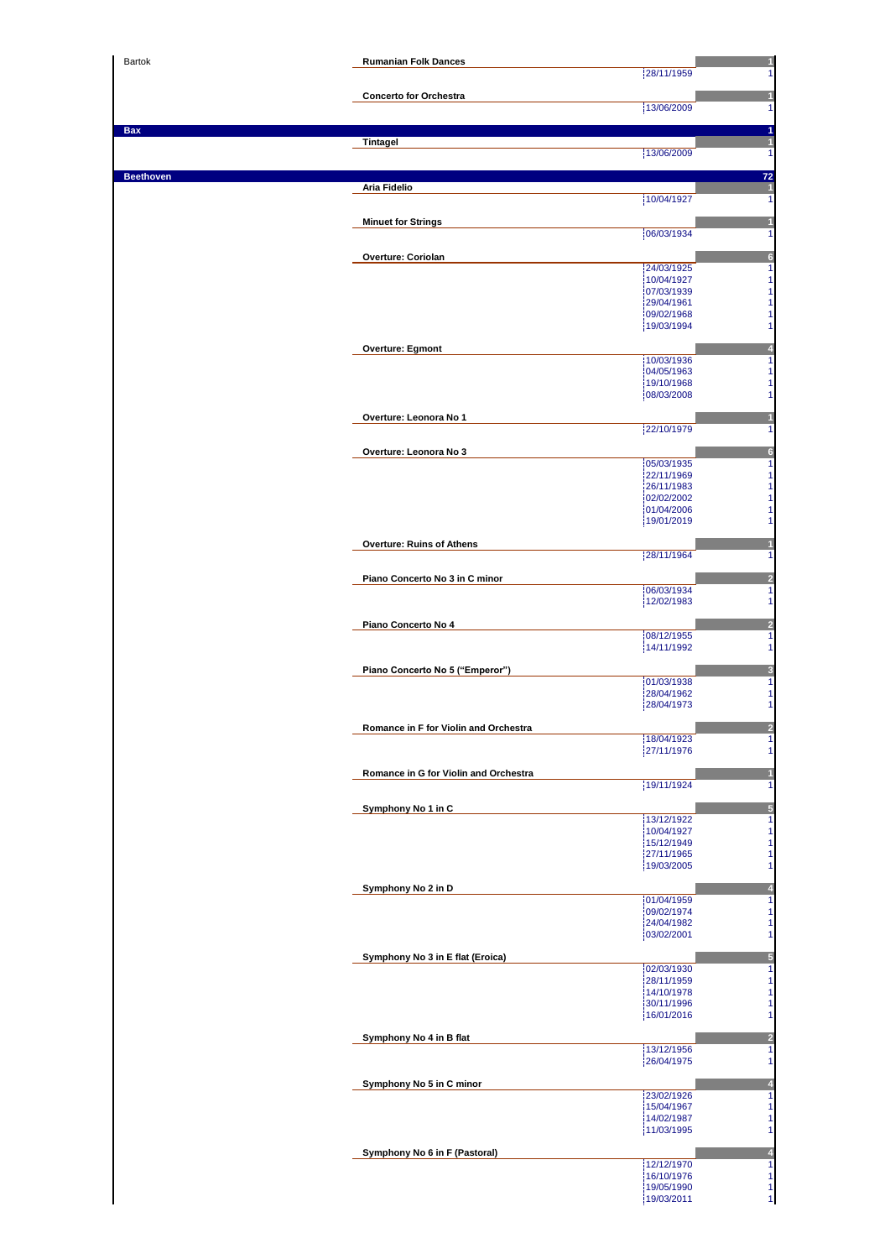| Bartok           | <b>Rumanian Folk Dances</b>           | 28/11/1959<br>1                                            |
|------------------|---------------------------------------|------------------------------------------------------------|
|                  | <b>Concerto for Orchestra</b>         |                                                            |
|                  |                                       | 13/06/2009<br>1                                            |
| <b>Bax</b>       |                                       | 1                                                          |
|                  | Tintagel                              | 1<br>13/06/2009<br>1                                       |
| <b>Beethoven</b> |                                       | 72                                                         |
|                  | Aria Fidelio                          | $\overline{\mathbf{1}}$                                    |
|                  |                                       | 10/04/1927<br>1                                            |
|                  | <b>Minuet for Strings</b>             | н<br>06/03/1934<br>1                                       |
|                  |                                       |                                                            |
|                  | Overture: Coriolan                    | $6\phantom{1}6$<br>24/03/1925<br>$\mathbf{1}$              |
|                  |                                       | 1<br>10/04/1927<br>07/03/1939<br>1                         |
|                  |                                       | 1<br>29/04/1961                                            |
|                  |                                       | 09/02/1968<br>1<br>1<br>19/03/1994                         |
|                  | <b>Overture: Egmont</b>               |                                                            |
|                  |                                       | $\overline{1}$<br>10/03/1936                               |
|                  |                                       | 04/05/1963<br>1<br>19/10/1968<br>1                         |
|                  |                                       | 08/03/2008<br>1                                            |
|                  | Overture: Leonora No 1                |                                                            |
|                  |                                       | 22/10/1979<br>1                                            |
|                  | Overture: Leonora No 3                | $6\phantom{1}6$                                            |
|                  |                                       | 05/03/1935<br>1<br>1<br>22/11/1969                         |
|                  |                                       | 26/11/1983<br>1<br>02/02/2002<br>1                         |
|                  |                                       | 01/04/2006<br>1                                            |
|                  |                                       | 19/01/2019<br>1                                            |
|                  | Overture: Ruins of Athens             | 28/11/1964<br>1                                            |
|                  |                                       |                                                            |
|                  | Piano Concerto No 3 in C minor        | $\overline{a}$<br>06/03/1934<br>1                          |
|                  |                                       | 12/02/1983<br>1                                            |
|                  | Piano Concerto No 4                   | $\overline{a}$                                             |
|                  |                                       | 08/12/1955<br>1<br>14/11/1992<br>1                         |
|                  | Piano Concerto No 5 ("Emperor")       | 3                                                          |
|                  |                                       | 01/03/1938<br>1                                            |
|                  |                                       | 28/04/1962<br>1<br>28/04/1973<br>1                         |
|                  | Romance in F for Violin and Orchestra | $\overline{\mathbf{c}}$                                    |
|                  |                                       | 18/04/1923<br>$\overline{1}$                               |
|                  |                                       | 27/11/1976<br>1                                            |
|                  | Romance in G for Violin and Orchestra | 1<br>19/11/1924<br>1                                       |
|                  |                                       |                                                            |
|                  | Symphony No 1 in C                    | 5<br>$\overline{\mathbf{1}}$<br>13/12/1922                 |
|                  |                                       | 1<br>10/04/1927<br>$\mathbf{1}$<br>15/12/1949              |
|                  |                                       | $\mathbf{1}$<br>27/11/1965                                 |
|                  |                                       | $\mathbf{1}$<br>19/03/2005                                 |
|                  | Symphony No 2 in D                    | 4<br>$\overline{1}$<br>01/04/1959                          |
|                  |                                       | $\mathbf{1}$<br>09/02/1974                                 |
|                  |                                       | $\mathbf{1}$<br>24/04/1982<br>$\mathbf{1}$<br>03/02/2001   |
|                  | Symphony No 3 in E flat (Eroica)      | 5                                                          |
|                  |                                       | $\mathbf{1}$<br>02/03/1930                                 |
|                  |                                       | 1<br>28/11/1959<br>1<br>14/10/1978                         |
|                  |                                       | $\mathbf{1}$<br>30/11/1996<br>$\mathbf{1}$<br>16/01/2016   |
|                  |                                       |                                                            |
|                  | Symphony No 4 in B flat               | $\overline{\mathbf{c}}$<br>13/12/1956<br>1                 |
|                  |                                       | 26/04/1975<br>1                                            |
|                  | Symphony No 5 in C minor              | 4                                                          |
|                  |                                       | $\overline{1}$<br>23/02/1926<br>15/04/1967<br>$\mathbf{1}$ |
|                  |                                       | $\mathbf{1}$<br>14/02/1987                                 |
|                  |                                       | $\mathbf{1}$<br>11/03/1995                                 |
|                  | Symphony No 6 in F (Pastoral)         | $\overline{4}$<br>$\ddagger$<br>12/12/1970                 |
|                  |                                       | $\frac{1}{1}$<br>16/10/1976                                |
|                  |                                       | 19/05/1990<br>$\mathbf{1}$<br>19/03/2011                   |
|                  |                                       |                                                            |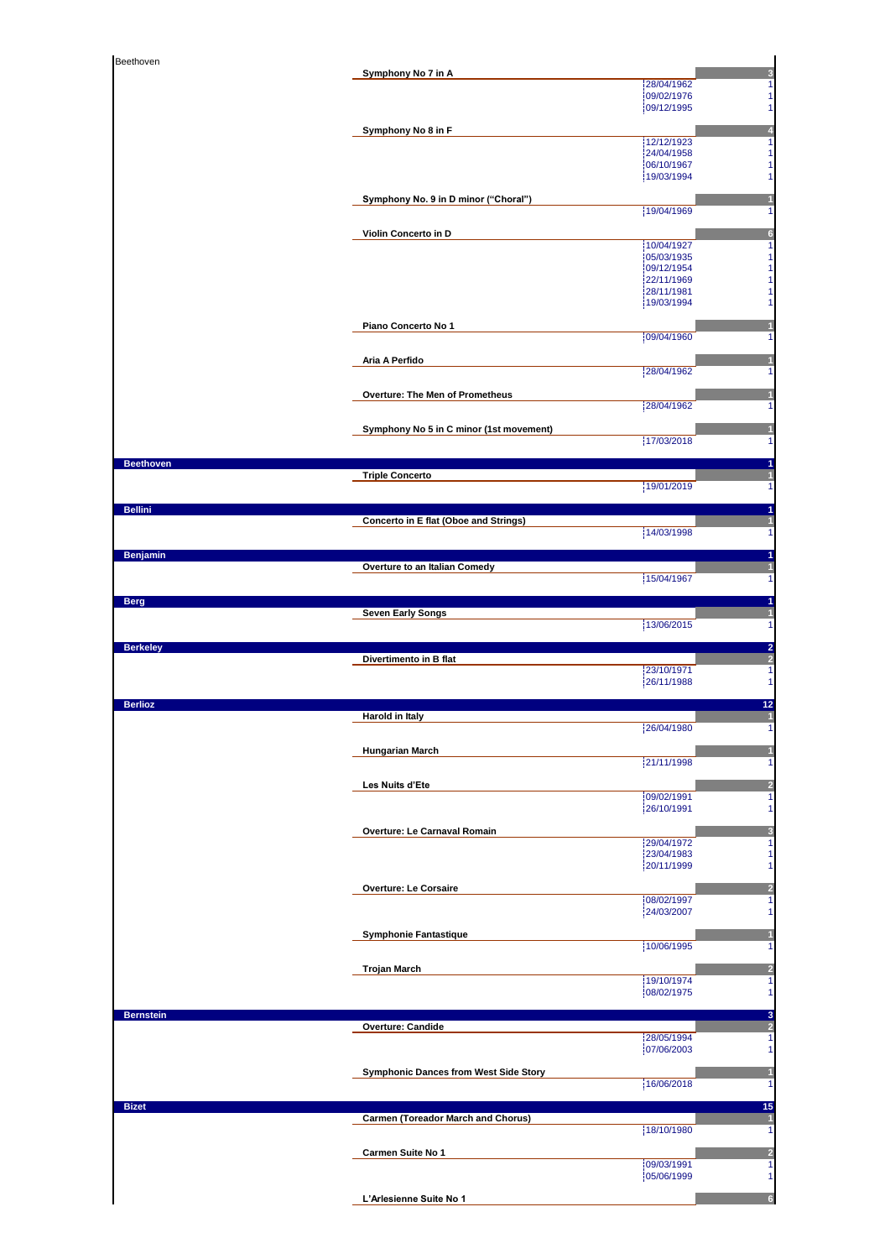| Beethoven        | Symphony No 7 in A                           | 3                                                         |
|------------------|----------------------------------------------|-----------------------------------------------------------|
|                  |                                              | 28/04/1962<br>1<br>09/02/1976<br>1                        |
|                  |                                              | 09/12/1995<br>1                                           |
|                  | Symphony No 8 in F                           | 4<br>12/12/1923<br>1                                      |
|                  |                                              | 24/04/1958<br>1<br>06/10/1967<br>1                        |
|                  |                                              | 19/03/1994<br>1                                           |
|                  | Symphony No. 9 in D minor ("Choral")         | 19/04/1969<br>1                                           |
|                  | Violin Concerto in D                         | $6\phantom{1}6$                                           |
|                  |                                              | 10/04/1927<br>1<br>05/03/1935<br>1                        |
|                  |                                              | 09/12/1954<br>1<br>22/11/1969<br>1                        |
|                  |                                              | 28/11/1981<br>1<br>19/03/1994<br>1                        |
|                  | Piano Concerto No 1                          |                                                           |
|                  |                                              | 09/04/1960<br>1                                           |
|                  | Aria A Perfido                               | n<br>28/04/1962<br>1                                      |
|                  |                                              |                                                           |
|                  | Overture: The Men of Prometheus              | 28/04/1962<br>1                                           |
|                  | Symphony No 5 in C minor (1st movement)      |                                                           |
|                  |                                              | 17/03/2018<br>1                                           |
| <b>Beethoven</b> | <b>Triple Concerto</b>                       | 1<br>1<br>19/01/2019                                      |
|                  |                                              | $\mathbf{1}$                                              |
| <b>Bellini</b>   | Concerto in E flat (Oboe and Strings)        | 1<br>$\overline{\mathbf{1}}$                              |
|                  |                                              | 14/03/1998<br>$\mathbf{1}$                                |
| <b>Benjamin</b>  | Overture to an Italian Comedy                | 1                                                         |
|                  |                                              | 15/04/1967<br>1                                           |
| <b>Berg</b>      | <b>Seven Early Songs</b>                     | 1<br>1                                                    |
|                  |                                              | 13/06/2015<br>1                                           |
|                  |                                              |                                                           |
| <b>Berkeley</b>  | Divertimento in B flat                       | 2                                                         |
|                  |                                              | $\frac{2}{1}$<br>23/10/1971<br>$\mathbf{1}$<br>26/11/1988 |
| <b>Berlioz</b>   |                                              | 12                                                        |
|                  | <b>Harold in Italy</b>                       | 1<br>26/04/1980<br>$\overline{4}$                         |
|                  | <b>Hungarian March</b>                       |                                                           |
|                  |                                              | 21/11/1998<br>1                                           |
|                  | Les Nuits d'Ete                              | 2<br>09/02/1991<br>1                                      |
|                  |                                              | 26/10/1991<br>1                                           |
|                  | Overture: Le Carnaval Romain                 | 3<br>29/04/1972<br>1                                      |
|                  |                                              | 23/04/1983<br>1<br>20/11/1999<br>1                        |
|                  | <b>Overture: Le Corsaire</b>                 | $\overline{2}$                                            |
|                  |                                              | 08/02/1997<br>1<br>24/03/2007<br>1                        |
|                  | <b>Symphonie Fantastique</b>                 | п                                                         |
|                  |                                              | 10/06/1995<br>1                                           |
|                  | <b>Trojan March</b>                          | $\overline{\mathbf{c}}$<br>19/10/1974<br>1                |
|                  |                                              | 08/02/1975<br>1                                           |
| <b>Bernstein</b> | <b>Overture: Candide</b>                     | 3<br>$\overline{a}$                                       |
|                  |                                              | 28/05/1994<br>$\mathbf{1}$<br>07/06/2003<br>$\mathbf{1}$  |
|                  | <b>Symphonic Dances from West Side Story</b> |                                                           |
|                  |                                              | 16/06/2018<br>1                                           |
| <b>Bizet</b>     | Carmen (Toreador March and Chorus)           | 15<br>1                                                   |
|                  |                                              | 18/10/1980<br>$\mathbf{1}$                                |
|                  | Carmen Suite No 1                            | $\overline{a}$<br>09/03/1991<br>1                         |
|                  | L'Arlesienne Suite No 1                      | 05/06/1999<br>1<br>$6\phantom{1}$                         |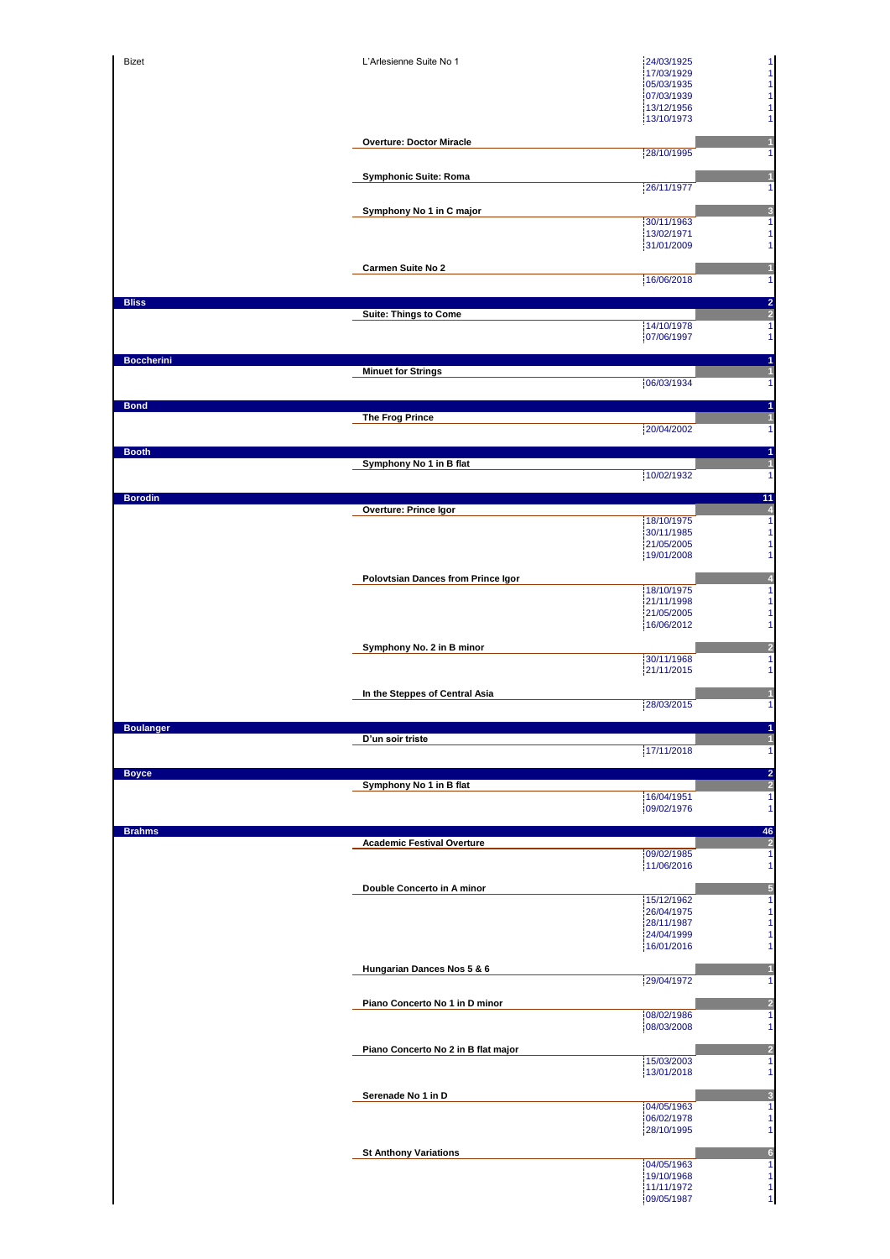|                   | L'Arlesienne Suite No 1             | 24/03/1925<br>17/03/1929               |
|-------------------|-------------------------------------|----------------------------------------|
|                   |                                     | 05/03/1935                             |
|                   |                                     | 07/03/1939<br>13/12/1956               |
|                   |                                     | 13/10/1973                             |
|                   | <b>Overture: Doctor Miracle</b>     |                                        |
|                   |                                     | 28/10/1995                             |
|                   | <b>Symphonic Suite: Roma</b>        |                                        |
|                   |                                     | 26/11/1977                             |
|                   | Symphony No 1 in C major            |                                        |
|                   |                                     | 30/11/1963<br>13/02/1971               |
|                   |                                     | 31/01/2009                             |
|                   | Carmen Suite No 2                   |                                        |
|                   |                                     | 16/06/2018                             |
| <b>Bliss</b>      | Suite: Things to Come               |                                        |
|                   |                                     | 14/10/1978                             |
|                   |                                     | 07/06/1997                             |
| <b>Boccherini</b> | <b>Minuet for Strings</b>           |                                        |
|                   |                                     | 06/03/1934                             |
| <b>Bond</b>       |                                     |                                        |
|                   | The Frog Prince                     |                                        |
|                   |                                     | 20/04/2002                             |
| <b>Booth</b>      | Symphony No 1 in B flat             |                                        |
|                   |                                     | 10/02/1932                             |
| <b>Borodin</b>    |                                     |                                        |
|                   | Overture: Prince Igor               | 18/10/1975                             |
|                   |                                     | 30/11/1985                             |
|                   |                                     | 21/05/2005<br>19/01/2008               |
|                   |                                     |                                        |
|                   | Polovtsian Dances from Prince Igor  | 18/10/1975                             |
|                   |                                     | 21/11/1998<br>21/05/2005               |
|                   |                                     | 16/06/2012                             |
|                   | Symphony No. 2 in B minor           |                                        |
|                   |                                     | 30/11/1968<br>21/11/2015               |
|                   |                                     |                                        |
|                   | In the Steppes of Central Asia      | 28/03/2015                             |
|                   |                                     |                                        |
| poularige         | D'un soir triste                    |                                        |
|                   |                                     | 17/11/2018                             |
| <b>Boyce</b>      | Symphony No 1 in B flat             |                                        |
|                   |                                     | 16/04/1951                             |
|                   |                                     | 09/02/1976                             |
| <b>Brahms</b>     |                                     |                                        |
|                   | <b>Academic Festival Overture</b>   | 09/02/1985                             |
|                   |                                     | 11/06/2016                             |
|                   | Double Concerto in A minor          |                                        |
|                   |                                     |                                        |
|                   |                                     | 15/12/1962<br>26/04/1975               |
|                   |                                     | 28/11/1987                             |
|                   |                                     | 24/04/1999<br>16/01/2016               |
|                   | Hungarian Dances Nos 5 & 6          |                                        |
|                   |                                     | 29/04/1972                             |
|                   | Piano Concerto No 1 in D minor      |                                        |
|                   |                                     | 08/02/1986<br>08/03/2008               |
|                   |                                     |                                        |
|                   | Piano Concerto No 2 in B flat major | 15/03/2003                             |
|                   |                                     | 13/01/2018                             |
|                   | Serenade No 1 in D                  |                                        |
|                   |                                     | 04/05/1963<br>06/02/1978               |
|                   |                                     | 28/10/1995                             |
|                   | <b>St Anthony Variations</b>        |                                        |
|                   |                                     | 04/05/1963                             |
|                   |                                     | 19/10/1968<br>11/11/1972<br>09/05/1987 |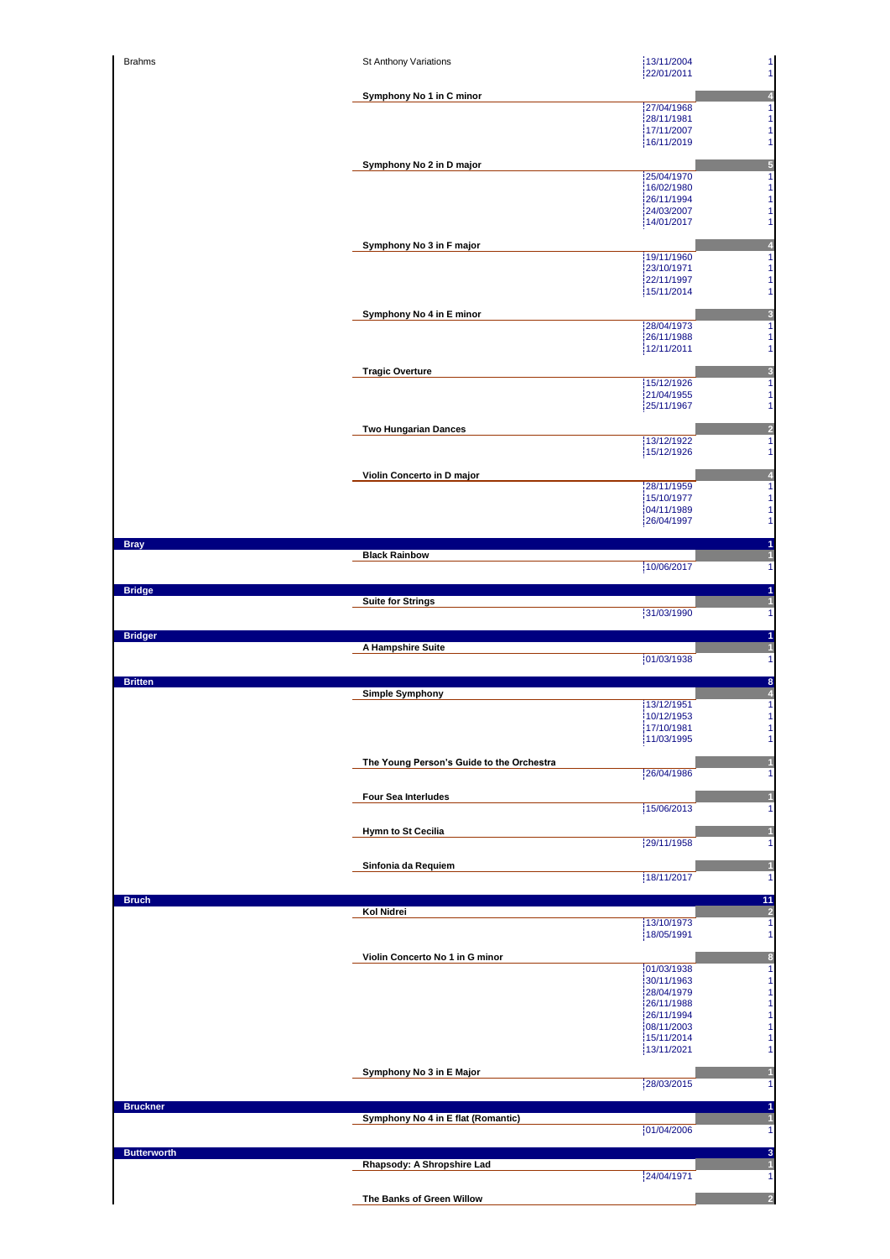| <b>Brahms</b>      | St Anthony Variations                     | 13/11/2004<br>$\mathbf{1}$<br>$\mathbf{1}$<br>22/01/2011 |
|--------------------|-------------------------------------------|----------------------------------------------------------|
|                    | Symphony No 1 in C minor                  | $\overline{\mathbf{4}}$                                  |
|                    |                                           | 27/04/1968<br>$\mathbf{1}$                               |
|                    |                                           | 28/11/1981<br>$\mathbf{1}$<br>17/11/2007<br>$\mathbf{1}$ |
|                    |                                           | $\mathbf{1}$<br>16/11/2019                               |
|                    | Symphony No 2 in D major                  | $\overline{\mathbf{5}}$<br>25/04/1970<br>$\mathbf{1}$    |
|                    |                                           | 16/02/1980<br>$\mathbf{1}$<br>$\mathbf{1}$<br>26/11/1994 |
|                    |                                           | 24/03/2007<br>$\mathbf{1}$                               |
|                    |                                           | 14/01/2017<br>$\mathbf{1}$                               |
|                    | Symphony No 3 in F major                  | $\overline{\mathbf{4}}$<br>19/11/1960<br>$\mathbf{1}$    |
|                    |                                           | 23/10/1971<br>$\mathbf{1}$                               |
|                    |                                           | 22/11/1997<br>$\mathbf{1}$<br>15/11/2014<br>$\mathbf{1}$ |
|                    | Symphony No 4 in E minor                  | $\overline{\mathbf{3}}$                                  |
|                    |                                           | 28/04/1973<br>$\mathbf{1}$<br>26/11/1988<br>$\mathbf{1}$ |
|                    |                                           | 12/11/2011<br>$\mathbf{1}$                               |
|                    | <b>Tragic Overture</b>                    | $\overline{\mathbf{3}}$                                  |
|                    |                                           | 15/12/1926<br>$\mathbf{1}$<br>21/04/1955<br>$\mathbf{1}$ |
|                    |                                           | 25/11/1967<br>$\mathbf{1}$                               |
|                    | <b>Two Hungarian Dances</b>               | $\overline{a}$                                           |
|                    |                                           | 13/12/1922<br>$\mathbf{1}$<br>15/12/1926<br>$\mathbf{1}$ |
|                    | Violin Concerto in D major                | 4                                                        |
|                    |                                           | 28/11/1959<br>$\mathbf{1}$                               |
|                    |                                           | 15/10/1977<br>$\mathbf{1}$<br>$\mathbf{1}$<br>04/11/1989 |
|                    |                                           | $\mathbf{1}$<br>26/04/1997                               |
| <b>Bray</b>        |                                           | 1                                                        |
|                    | <b>Black Rainbow</b>                      | $\mathbf{1}$<br>10/06/2017<br>$\vert$                    |
| <b>Bridge</b>      |                                           | 1                                                        |
|                    | <b>Suite for Strings</b>                  | $\mathbf{1}$<br>31/03/1990<br>1                          |
|                    |                                           | $\blacksquare$                                           |
|                    |                                           |                                                          |
| <b>Bridger</b>     | A Hampshire Suite                         | $\mathbf{1}$                                             |
|                    |                                           | 01/03/1938<br>$\mathbf{1}$                               |
| <b>Britten</b>     | <b>Simple Symphony</b>                    | 8<br>$\overline{\mathbf{4}}$                             |
|                    |                                           | $\mathbf{1}$<br>13/12/1951                               |
|                    |                                           | 10/12/1953<br>1<br>17/10/1981<br>$\mathbf{1}$            |
|                    |                                           | 11/03/1995<br>$\vert$                                    |
|                    | The Young Person's Guide to the Orchestra | $\mathbf{1}$                                             |
|                    |                                           | 26/04/1986                                               |
|                    | <b>Four Sea Interludes</b>                | $\mathbf{1}$<br>15/06/2013<br>$\mathbf{1}$               |
|                    | <b>Hymn to St Cecilia</b>                 | $\mathbf{1}$                                             |
|                    |                                           | 29/11/1958<br>$\mathbf{1}$                               |
|                    | Sinfonia da Requiem                       | $\vert$                                                  |
|                    |                                           | 18/11/2017<br>$\mathbf{1}$                               |
| <b>Bruch</b>       | Kol Nidrei                                | 11<br>$\overline{\mathbf{c}}$                            |
|                    |                                           | 13/10/1973<br>$\mathbf{1}$<br>18/05/1991<br>1            |
|                    |                                           |                                                          |
|                    | Violin Concerto No 1 in G minor           | $\bf{8}$<br>01/03/1938<br>$\mathbf{1}$                   |
|                    |                                           | $\mathbf{1}$<br>30/11/1963<br>$\mathbf{1}$<br>28/04/1979 |
|                    |                                           | $\mathbf{1}$<br>26/11/1988                               |
|                    |                                           | $\mathbf{1}$<br>26/11/1994<br>08/11/2003<br>$\mathbf{1}$ |
|                    |                                           | 15/11/2014<br>$\vert$<br>13/11/2021<br>$\mathbf{1}$      |
|                    | Symphony No 3 in E Major                  | $\vert$                                                  |
|                    |                                           | 28/03/2015<br>$\mathbf{1}$                               |
| <b>Bruckner</b>    |                                           | 1                                                        |
|                    | Symphony No 4 in E flat (Romantic)        | $\mathbf{1}$<br>01/04/2006<br>$\mathbf{1}$               |
|                    |                                           |                                                          |
| <b>Butterworth</b> | Rhapsody: A Shropshire Lad                | $\mathbf{3}$<br>$\vert$                                  |
|                    | The Banks of Green Willow                 | 24/04/1971<br>$\mathbf{1}$<br>$\overline{2}$             |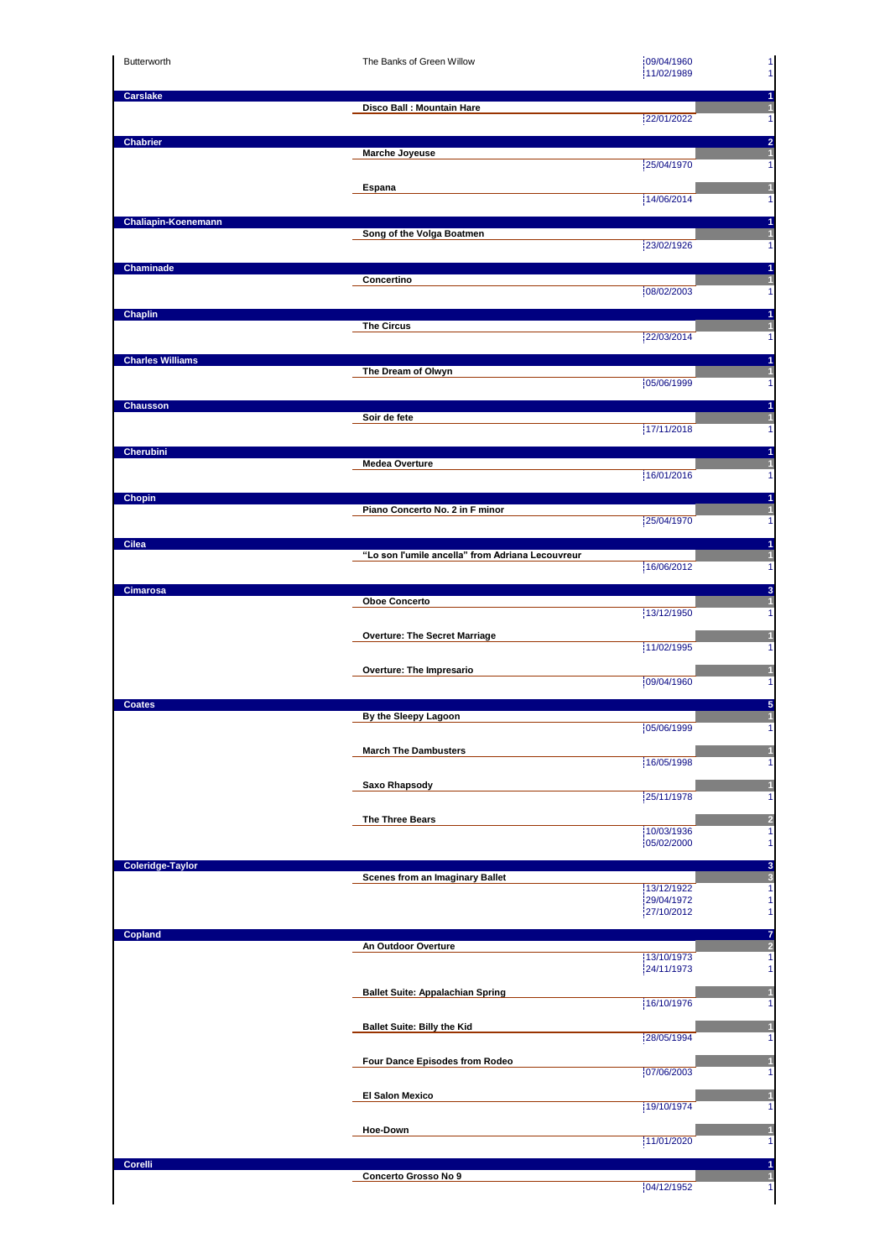| Butterworth                | The Banks of Green Willow                                | 09/04/1960<br>$\mathbf{1}$<br>11/02/1989<br>1                                          |
|----------------------------|----------------------------------------------------------|----------------------------------------------------------------------------------------|
| <b>Carslake</b>            | Disco Ball : Mountain Hare                               | 1<br>$\mathbf{1}$<br>22/01/2022<br>$\mathbf{1}$                                        |
| <b>Chabrier</b>            | Marche Joyeuse                                           | $\overline{2}$<br>$\mathbf{1}$<br>25/04/1970<br>1                                      |
|                            | Espana                                                   | $\mathbf{1}$<br>14/06/2014<br>1                                                        |
| <b>Chaliapin-Koenemann</b> | Song of the Volga Boatmen                                | 1<br>$\mathbf{1}$<br>23/02/1926<br>$\mathbf{1}$                                        |
| Chaminade                  | Concertino                                               | 1<br>$\vert$<br>08/02/2003<br>$\mathbf{1}$                                             |
| <b>Chaplin</b>             | <b>The Circus</b>                                        | 1<br>$\overline{1}$<br>22/03/2014<br>$\mathbf{1}$                                      |
| <b>Charles Williams</b>    | The Dream of Olwyn                                       | 1<br>$\overline{\mathbf{1}}$<br>05/06/1999<br>1                                        |
| Chausson                   | Soir de fete                                             | 1<br>$\blacksquare$<br>17/11/2018<br>1                                                 |
| Cherubini                  | <b>Medea Overture</b>                                    | 1<br>и<br>16/01/2016<br>1                                                              |
| Chopin                     | Piano Concerto No. 2 in F minor                          | 1<br>1<br>25/04/1970<br>1                                                              |
| Cilea                      | "Lo son l'umile ancella" from Adriana Lecouvreur         | 1<br>1<br>16/06/2012<br>1                                                              |
| <b>Cimarosa</b>            | <b>Oboe Concerto</b>                                     | 3<br>$\mathbf{1}$<br>13/12/1950<br>1                                                   |
|                            | <b>Overture: The Secret Marriage</b>                     | 11/02/1995<br>1                                                                        |
| <b>Coates</b>              | Overture: The Impresario                                 | и<br>09/04/1960<br>1<br>5                                                              |
|                            | By the Sleepy Lagoon<br><b>March The Dambusters</b>      | 05/06/1999<br>$\mathbf{1}$                                                             |
|                            | <b>Saxo Rhapsody</b>                                     | 1<br>16/05/1998<br>1<br>1                                                              |
|                            | The Three Bears                                          | 25/11/1978<br>1<br>$\overline{a}$<br>10/03/1936<br>$\overline{1}$                      |
| Coleridge-Taylor           | Scenes from an Imaginary Ballet                          | 05/02/2000<br>$\mathbf{1}$<br>3<br>$\sqrt{3}$                                          |
|                            |                                                          | 13/12/1922<br>$\mathbf{1}$<br>29/04/1972<br>$\mathbf{1}$<br>$\mathbf{1}$<br>27/10/2012 |
| Copland                    | An Outdoor Overture                                      | $\overline{7}$<br>$\overline{a}$<br>13/10/1973<br>1<br>$\mathbf{1}$<br>24/11/1973      |
|                            | <b>Ballet Suite: Appalachian Spring</b>                  | 1<br>16/10/1976<br>1                                                                   |
|                            | <b>Ballet Suite: Billy the Kid</b>                       | $\mathbf{1}$<br>28/05/1994<br>1                                                        |
|                            | Four Dance Episodes from Rodeo<br><b>El Salon Mexico</b> | $\mathbf{1}$<br>07/06/2003<br>1<br>Ш                                                   |
|                            | Hoe-Down                                                 | 19/10/1974<br>1<br>$\mathbf{1}$<br>11/01/2020<br>$\mathbf{1}$                          |
| Corelli                    | Concerto Grosso No 9                                     | 1<br>$\mathbf{1}$<br>04/12/1952<br>1                                                   |
|                            |                                                          |                                                                                        |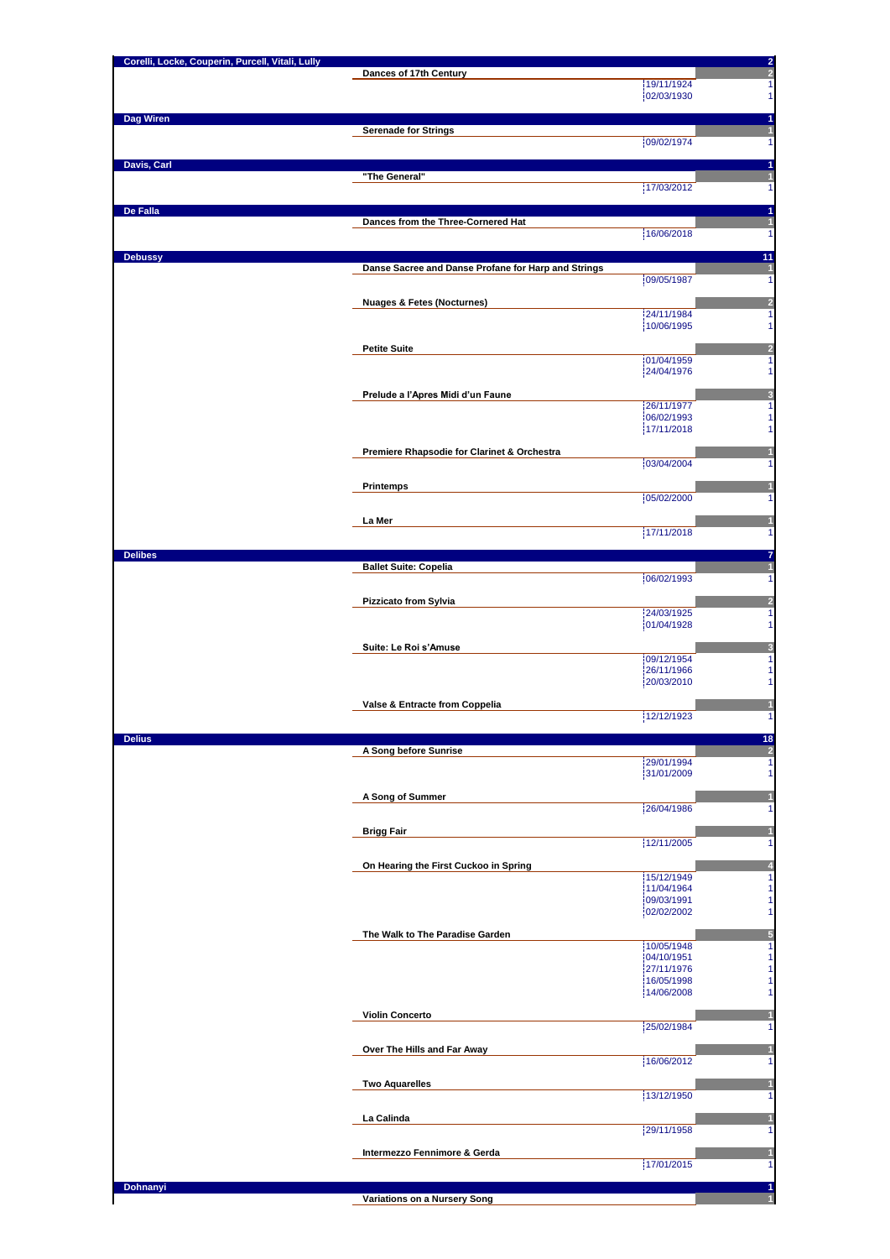| Corelli, Locke, Couperin, Purcell, Vitali, Lully | Dances of 17th Century                              | $\frac{2}{2}$                 |
|--------------------------------------------------|-----------------------------------------------------|-------------------------------|
|                                                  |                                                     | 19/11/1924<br>02/03/1930      |
|                                                  |                                                     |                               |
| Dag Wiren                                        | <b>Serenade for Strings</b>                         |                               |
|                                                  |                                                     | 09/02/1974                    |
| Davis, Carl                                      |                                                     |                               |
|                                                  | "The General"                                       | 17/03/2012                    |
|                                                  |                                                     |                               |
| De Falla                                         | Dances from the Three-Cornered Hat                  |                               |
|                                                  |                                                     | 16/06/2018                    |
| <b>Debussy</b>                                   |                                                     | 11                            |
|                                                  | Danse Sacree and Danse Profane for Harp and Strings | 09/05/1987                    |
|                                                  |                                                     |                               |
|                                                  | <b>Nuages &amp; Fetes (Nocturnes)</b>               | 24/11/1984                    |
|                                                  |                                                     | 10/06/1995                    |
|                                                  | <b>Petite Suite</b>                                 |                               |
|                                                  |                                                     | 01/04/1959<br>24/04/1976      |
|                                                  | Prelude a l'Apres Midi d'un Faune                   | 3                             |
|                                                  |                                                     | 26/11/1977                    |
|                                                  |                                                     | 06/02/1993<br>17/11/2018      |
|                                                  | Premiere Rhapsodie for Clarinet & Orchestra         |                               |
|                                                  |                                                     | 03/04/2004                    |
|                                                  | Printemps                                           |                               |
|                                                  |                                                     | 05/02/2000                    |
|                                                  | La Mer                                              |                               |
|                                                  |                                                     | 17/11/2018                    |
| <b>Delibes</b>                                   |                                                     |                               |
|                                                  | <b>Ballet Suite: Copelia</b>                        | 06/02/1993                    |
|                                                  | Pizzicato from Sylvia                               | $\overline{\mathbf{c}}$       |
|                                                  |                                                     | 24/03/1925                    |
|                                                  |                                                     | 01/04/1928                    |
|                                                  | Suite: Le Roi s'Amuse                               | 09/12/1954                    |
|                                                  |                                                     | 26/11/1966                    |
|                                                  |                                                     | 20/03/2010                    |
|                                                  | Valse & Entracte from Coppelia                      | 12/12/1923                    |
|                                                  |                                                     |                               |
| <b>Delius</b>                                    | A Song before Sunrise                               | 18<br>$\overline{\mathbf{c}}$ |
|                                                  |                                                     | 29/01/1994                    |
|                                                  |                                                     | 31/01/2009                    |
|                                                  | A Song of Summer                                    | 26/04/1986                    |
|                                                  |                                                     |                               |
|                                                  | <b>Brigg Fair</b>                                   | 12/11/2005                    |
|                                                  | On Hearing the First Cuckoo in Spring               |                               |
|                                                  |                                                     | 15/12/1949                    |
|                                                  |                                                     | 11/04/1964<br>09/03/1991      |
|                                                  |                                                     | 02/02/2002                    |
|                                                  | The Walk to The Paradise Garden                     |                               |
|                                                  |                                                     | 10/05/1948<br>04/10/1951      |
|                                                  |                                                     | 27/11/1976<br>16/05/1998      |
|                                                  |                                                     | 14/06/2008                    |
|                                                  | <b>Violin Concerto</b>                              |                               |
|                                                  |                                                     | 25/02/1984                    |
|                                                  | Over The Hills and Far Away                         |                               |
|                                                  |                                                     | 16/06/2012                    |
|                                                  | <b>Two Aquarelles</b>                               |                               |
|                                                  |                                                     | 13/12/1950                    |
|                                                  |                                                     |                               |
|                                                  | La Calinda                                          |                               |
|                                                  |                                                     | 29/11/1958                    |
|                                                  | Intermezzo Fennimore & Gerda                        |                               |
|                                                  |                                                     | 17/01/2015                    |
| Dohnanyi                                         | Variations on a Nursery Song                        |                               |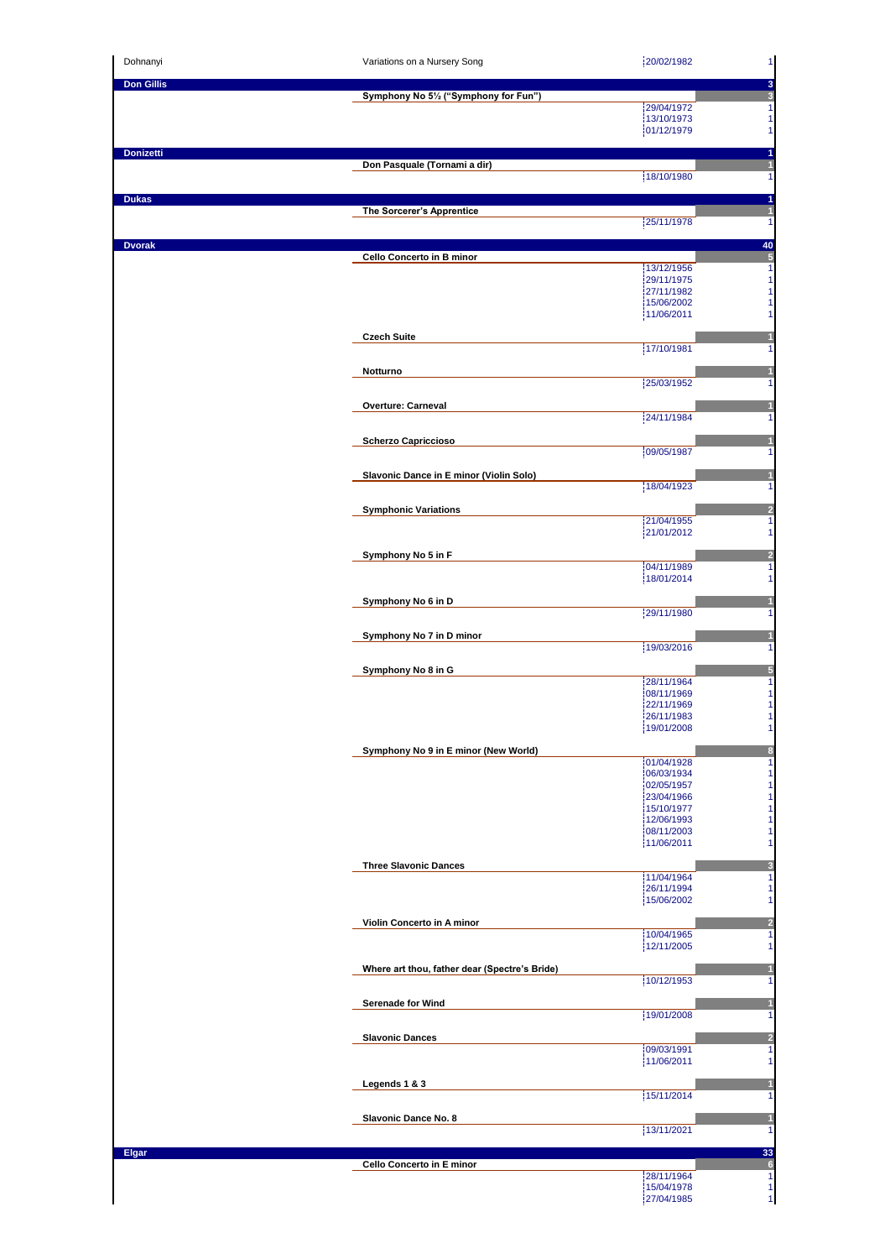| Dohnanyi          | Variations on a Nursery Song                  | 20/02/1982               | 1                     |
|-------------------|-----------------------------------------------|--------------------------|-----------------------|
| <b>Don Gillis</b> |                                               |                          | 3<br>3                |
|                   | Symphony No 51/2 ("Symphony for Fun")         | 29/04/1972               | 1                     |
|                   |                                               | 13/10/1973<br>01/12/1979 | 1<br>1                |
| <b>Donizetti</b>  |                                               |                          | 1                     |
|                   | Don Pasquale (Tornami a dir)                  | 18/10/1980               | $\mathbf{1}$<br>1     |
|                   |                                               |                          |                       |
| <b>Dukas</b>      | The Sorcerer's Apprentice                     |                          | 1<br>$\overline{1}$   |
|                   |                                               | 25/11/1978               | 1                     |
| <b>Dvorak</b>     | Cello Concerto in B minor                     |                          | 40<br>$\sqrt{5}$      |
|                   |                                               | 13/12/1956<br>29/11/1975 | 1<br>1                |
|                   |                                               | 27/11/1982               | 1                     |
|                   |                                               | 15/06/2002<br>11/06/2011 | 1<br>1                |
|                   | <b>Czech Suite</b>                            |                          |                       |
|                   |                                               | 17/10/1981               | 1                     |
|                   | Notturno                                      | 25/03/1952               | 1                     |
|                   |                                               |                          |                       |
|                   | <b>Overture: Carneval</b>                     | 24/11/1984               | 1                     |
|                   | <b>Scherzo Capriccioso</b>                    |                          |                       |
|                   |                                               | 09/05/1987               | 1                     |
|                   | Slavonic Dance in E minor (Violin Solo)       | 18/04/1923               |                       |
|                   |                                               |                          | 1                     |
|                   | <b>Symphonic Variations</b>                   | 21/04/1955               | $\overline{a}$<br>1   |
|                   |                                               | 21/01/2012               | 1                     |
|                   | Symphony No 5 in F                            | 04/11/1989               | $\overline{a}$<br>1   |
|                   |                                               | 18/01/2014               | 1                     |
|                   | Symphony No 6 in D                            |                          |                       |
|                   |                                               | 29/11/1980               | 1                     |
|                   | Symphony No 7 in D minor                      | 19/03/2016               | 1                     |
|                   | Symphony No 8 in G                            |                          | 5                     |
|                   |                                               | 28/11/1964<br>08/11/1969 | 1<br>1                |
|                   |                                               | 22/11/1969               | 1                     |
|                   |                                               | 26/11/1983<br>19/01/2008 | 1<br>1                |
|                   | Symphony No 9 in E minor (New World)          |                          | $\boldsymbol{8}$      |
|                   |                                               | 01/04/1928<br>06/03/1934 | 1<br>1                |
|                   |                                               | 02/05/1957<br>23/04/1966 | 1<br>1                |
|                   |                                               | 15/10/1977               | 1                     |
|                   |                                               | 12/06/1993<br>08/11/2003 | 1<br>1                |
|                   |                                               | 11/06/2011               | 1                     |
|                   | <b>Three Slavonic Dances</b>                  | 11/04/1964               | 3<br>1                |
|                   |                                               | 26/11/1994<br>15/06/2002 | 1<br>1                |
|                   |                                               |                          |                       |
|                   | Violin Concerto in A minor                    | 10/04/1965               | $\overline{a}$<br>1   |
|                   |                                               | 12/11/2005               | 1                     |
|                   | Where art thou, father dear (Spectre's Bride) | 10/12/1953               | 1                     |
|                   | Serenade for Wind                             |                          |                       |
|                   |                                               | 19/01/2008               | 1                     |
|                   | <b>Slavonic Dances</b>                        |                          | $\overline{2}$        |
|                   |                                               | 09/03/1991<br>11/06/2011 | 1<br>1                |
|                   | Legends 1 & 3                                 |                          |                       |
|                   |                                               | 15/11/2014               | 1                     |
|                   | Slavonic Dance No. 8                          |                          | $\mathbf{1}$          |
|                   |                                               | 13/11/2021               | 1                     |
| <b>Elgar</b>      | Cello Concerto in E minor                     |                          | 33<br>$6\phantom{1}6$ |
|                   |                                               | 28/11/1964               | 1                     |
|                   |                                               | 15/04/1978               | 1                     |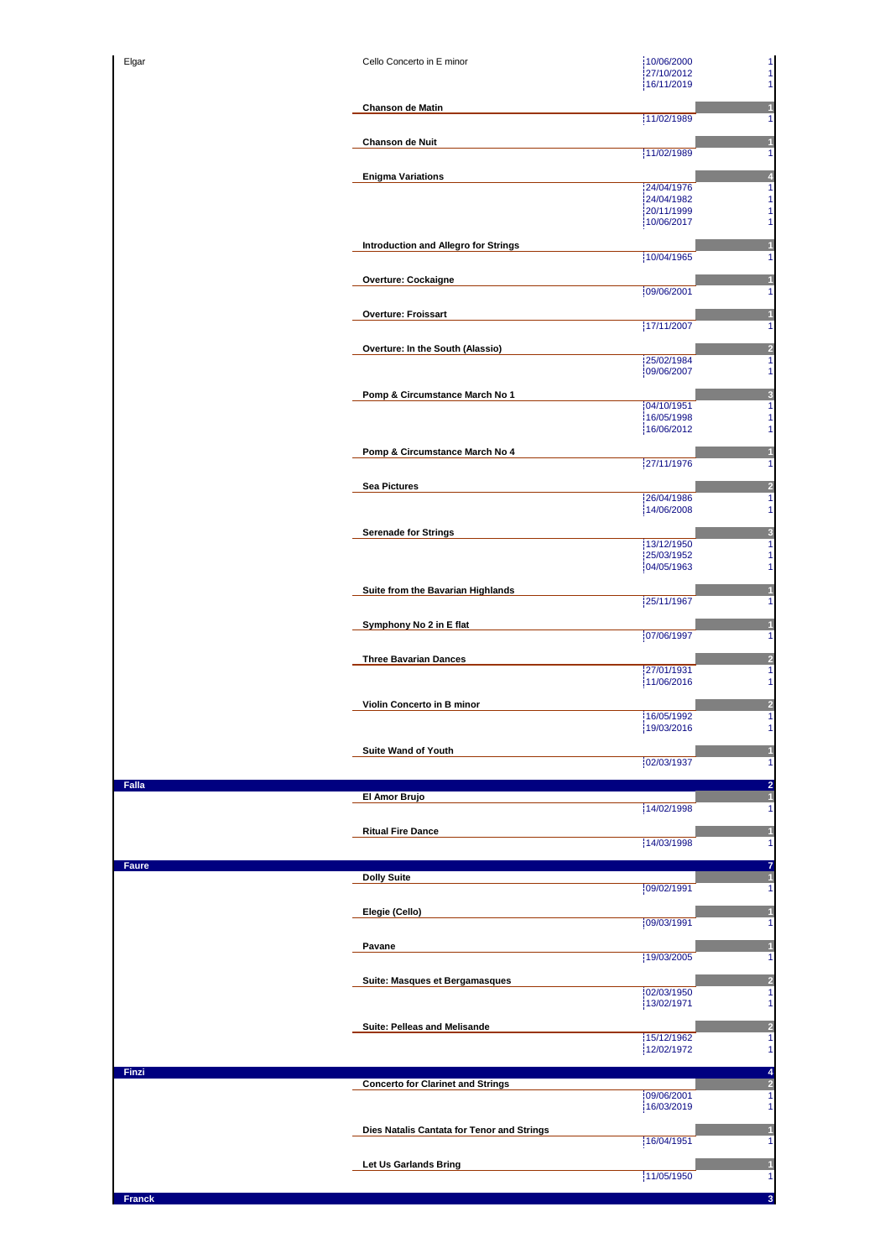| Elgar        | Cello Concerto in E minor                  | 10/06/2000<br>1<br>1<br>27/10/2012            |
|--------------|--------------------------------------------|-----------------------------------------------|
|              |                                            | 16/11/2019<br>1                               |
|              | <b>Chanson de Matin</b>                    | 1                                             |
|              |                                            | 11/02/1989<br>1                               |
|              | <b>Chanson de Nuit</b>                     | 1<br>11/02/1989<br>1                          |
|              | <b>Enigma Variations</b>                   | $\overline{\mathbf{z}}$                       |
|              |                                            | $\overline{\mathbf{1}}$<br>24/04/1976         |
|              |                                            | 1<br>24/04/1982<br>1<br>20/11/1999            |
|              |                                            | 10/06/2017<br>1                               |
|              | Introduction and Allegro for Strings       | 1<br>10/04/1965<br>1                          |
|              | <b>Overture: Cockaigne</b>                 |                                               |
|              |                                            | 09/06/2001<br>1                               |
|              | <b>Overture: Froissart</b>                 | 1                                             |
|              |                                            | 17/11/2007<br>1                               |
|              | Overture: In the South (Alassio)           | $\frac{2}{1}$<br>25/02/1984                   |
|              |                                            | 1<br>09/06/2007                               |
|              | Pomp & Circumstance March No 1             | $\frac{3}{1}$                                 |
|              |                                            | 04/10/1951<br>16/05/1998<br>1                 |
|              |                                            | 16/06/2012<br>1                               |
|              | Pomp & Circumstance March No 4             | 1                                             |
|              |                                            | 27/11/1976<br>1                               |
|              | <b>Sea Pictures</b>                        | $\overline{a}$<br>26/04/1986<br>1             |
|              |                                            | 14/06/2008<br>1                               |
|              | <b>Serenade for Strings</b>                | 3<br>13/12/1950<br>1                          |
|              |                                            | 25/03/1952<br>1                               |
|              |                                            | 04/05/1963<br>1                               |
|              | Suite from the Bavarian Highlands          | 1<br>25/11/1967<br>1                          |
|              | Symphony No 2 in E flat                    | 1                                             |
|              |                                            | 07/06/1997<br>1                               |
|              | <b>Three Bavarian Dances</b>               | $\frac{2}{1}$                                 |
|              |                                            | 27/01/1931<br>11/06/2016<br>1                 |
|              | Violin Concerto in B minor                 |                                               |
|              |                                            | $\frac{2}{1}$<br>16/05/1992                   |
|              |                                            | 19/03/2016                                    |
|              | <b>Suite Wand of Youth</b>                 | 1<br>02/03/1937<br>1                          |
| <b>Falla</b> |                                            |                                               |
|              | El Amor Brujo                              | $\frac{2}{1}$<br>14/02/1998<br>1              |
|              |                                            |                                               |
|              | <b>Ritual Fire Dance</b>                   | $\mathbf{1}$<br>14/03/1998<br>1               |
| <b>Faure</b> |                                            | 7                                             |
|              | <b>Dolly Suite</b>                         | 1<br>09/02/1991<br>1                          |
|              | Elegie (Cello)                             | 1                                             |
|              |                                            | 09/03/1991<br>1                               |
|              | Pavane                                     | Π                                             |
|              |                                            | 19/03/2005<br>1                               |
|              | Suite: Masques et Bergamasques             | 2<br>02/03/1950<br>1                          |
|              |                                            | 13/02/1971<br>1                               |
|              | Suite: Pelleas and Melisande               | $\overline{\mathbf{c}}$                       |
|              |                                            | 15/12/1962<br>$\mathbf{1}$<br>12/02/1972<br>1 |
| Finzi        |                                            |                                               |
|              | <b>Concerto for Clarinet and Strings</b>   | $\frac{4}{2}$<br>1<br>09/06/2001              |
|              |                                            | 16/03/2019<br>$\mathbf{1}$                    |
|              | Dies Natalis Cantata for Tenor and Strings | 1                                             |
|              |                                            | 16/04/1951<br>1                               |
|              |                                            |                                               |
|              | Let Us Garlands Bring                      | 1<br>11/05/1950<br>1                          |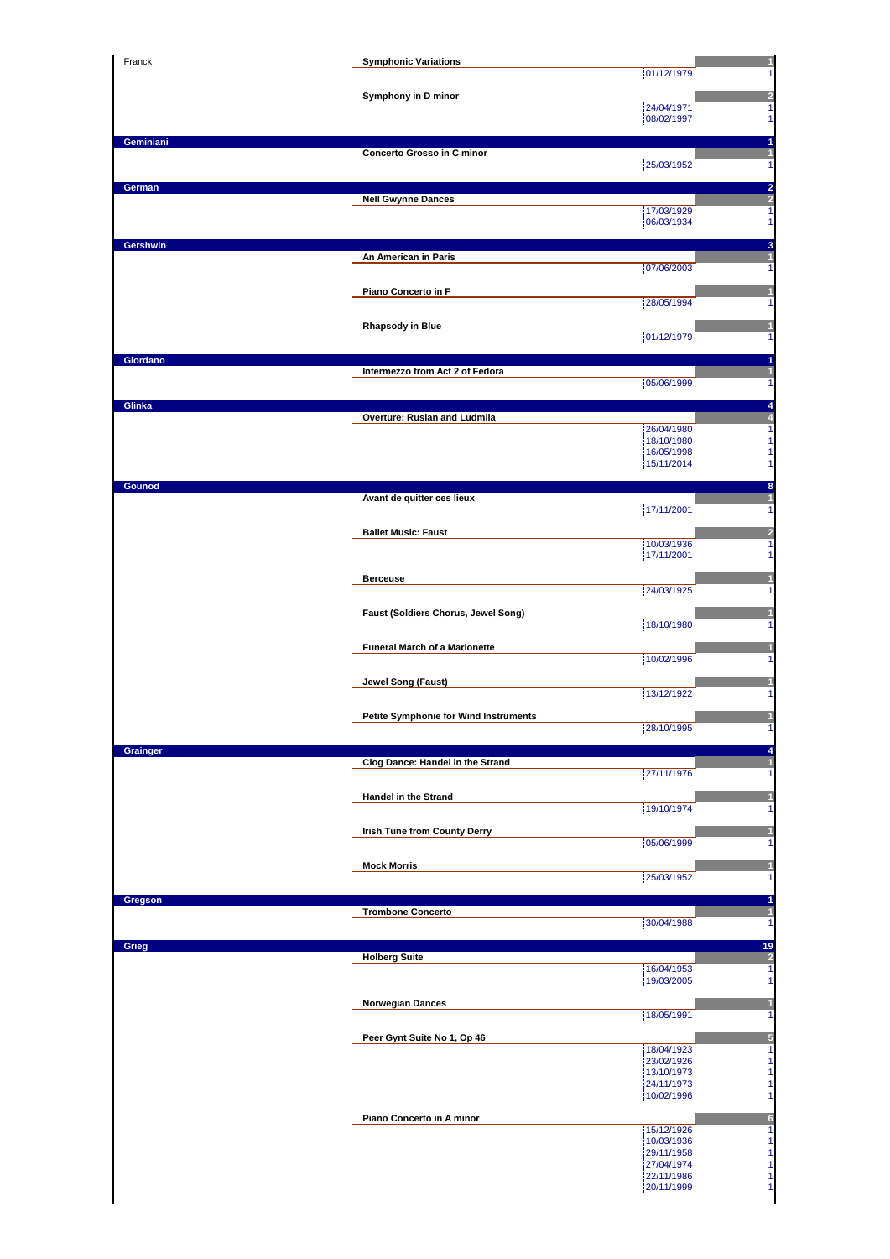| Franck    | <b>Symphonic Variations</b>                  | 01/12/1979               |
|-----------|----------------------------------------------|--------------------------|
|           | Symphony in D minor                          |                          |
|           |                                              | 24/04/1971<br>08/02/1997 |
| Geminiani |                                              |                          |
|           | Concerto Grosso in C minor                   | 25/03/1952               |
| German    | <b>Nell Gwynne Dances</b>                    |                          |
|           |                                              | 17/03/1929<br>06/03/1934 |
| Gershwin  |                                              |                          |
|           | An American in Paris                         | 07/06/2003               |
|           | Piano Concerto in F                          |                          |
|           |                                              | 28/05/1994               |
|           | <b>Rhapsody in Blue</b>                      | 01/12/1979               |
| Giordano  |                                              |                          |
|           | Intermezzo from Act 2 of Fedora              | 05/06/1999               |
| Glinka    | Overture: Ruslan and Ludmila                 |                          |
|           |                                              | 26/04/1980<br>18/10/1980 |
|           |                                              | 16/05/1998<br>15/11/2014 |
| Gounod    |                                              |                          |
|           | Avant de quitter ces lieux                   | 17/11/2001               |
|           | <b>Ballet Music: Faust</b>                   |                          |
|           |                                              | 10/03/1936<br>17/11/2001 |
|           | <b>Berceuse</b>                              |                          |
|           |                                              | 24/03/1925               |
|           | Faust (Soldiers Chorus, Jewel Song)          | 18/10/1980               |
|           | <b>Funeral March of a Marionette</b>         | 10/02/1996               |
|           | Jewel Song (Faust)                           |                          |
|           |                                              | 13/12/1922               |
|           | <b>Petite Symphonie for Wind Instruments</b> | 28/10/1995               |
| Grainger  |                                              |                          |
|           | Clog Dance: Handel in the Strand             | 27/11/1976               |
|           | <b>Handel in the Strand</b>                  |                          |
|           |                                              | 19/10/1974               |
|           | Irish Tune from County Derry                 | 05/06/1999               |
|           | <b>Mock Morris</b>                           | 25/03/1952               |
| Gregson   |                                              |                          |
|           | <b>Trombone Concerto</b>                     | 30/04/1988               |
| Grieg     |                                              |                          |
|           | <b>Holberg Suite</b>                         |                          |
|           |                                              | 16/04/1953               |
|           |                                              | 19/03/2005               |
|           | <b>Norwegian Dances</b>                      | 18/05/1991               |
|           | Peer Gynt Suite No 1, Op 46                  |                          |
|           |                                              | 18/04/1923<br>23/02/1926 |
|           |                                              | 13/10/1973<br>24/11/1973 |
|           | Piano Concerto in A minor                    | 10/02/1996               |
|           |                                              | 15/12/1926<br>10/03/1936 |
|           |                                              | 29/11/1958<br>27/04/1974 |
|           |                                              | 22/11/1986<br>20/11/1999 |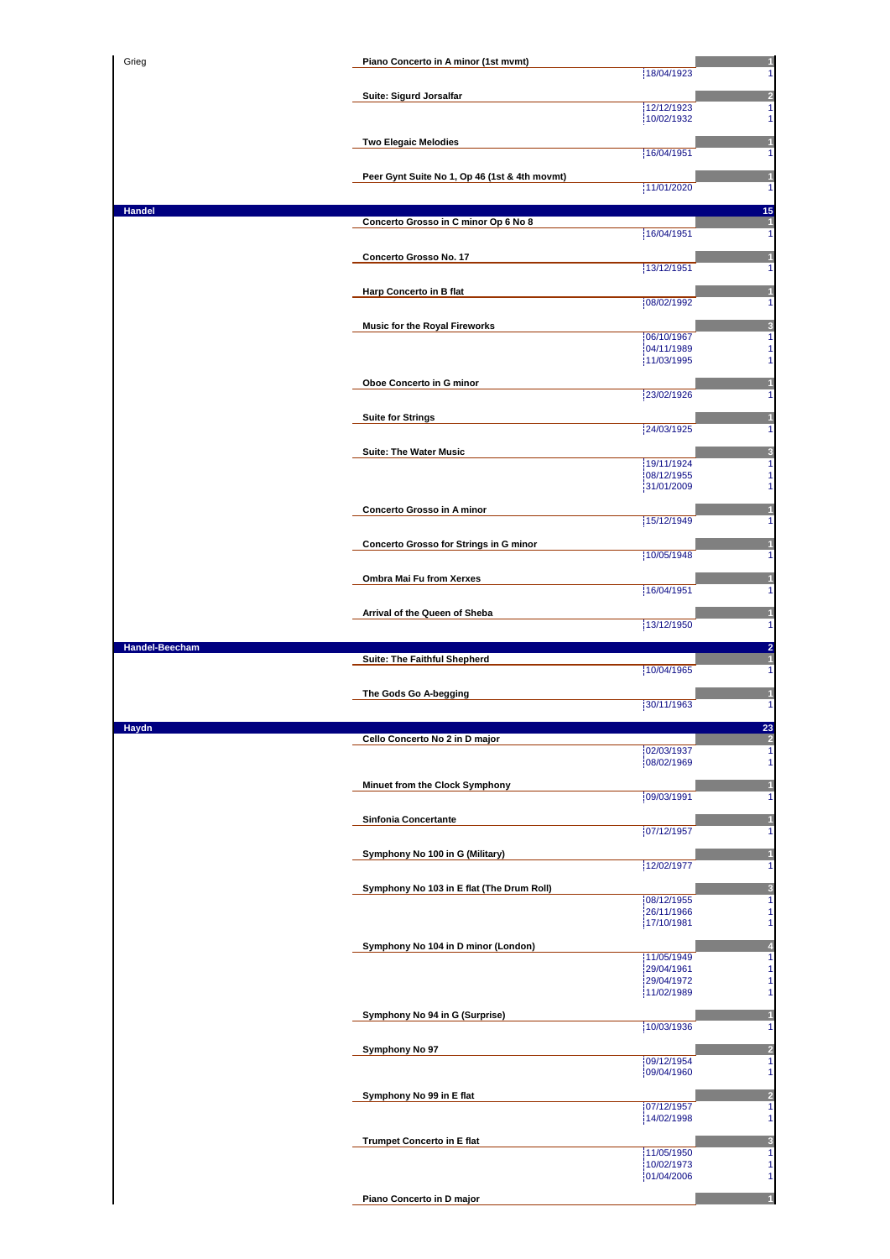| Grieg          | Piano Concerto in A minor (1st mvmt)          |                          |
|----------------|-----------------------------------------------|--------------------------|
|                |                                               | 18/04/1923               |
|                | Suite: Sigurd Jorsalfar                       |                          |
|                |                                               | 12/12/1923               |
|                |                                               | 10/02/1932               |
|                | <b>Two Elegaic Melodies</b>                   | 16/04/1951               |
|                |                                               |                          |
|                | Peer Gynt Suite No 1, Op 46 (1st & 4th movmt) | 11/01/2020               |
|                |                                               |                          |
| Handel         | Concerto Grosso in C minor Op 6 No 8          |                          |
|                |                                               | 16/04/1951               |
|                | Concerto Grosso No. 17                        |                          |
|                |                                               | 13/12/1951               |
|                | Harp Concerto in B flat                       |                          |
|                |                                               | 08/02/1992               |
|                | <b>Music for the Royal Fireworks</b>          | 06/10/1967               |
|                |                                               | 04/11/1989               |
|                |                                               | 11/03/1995               |
|                | Oboe Concerto in G minor                      |                          |
|                |                                               | 23/02/1926               |
|                | <b>Suite for Strings</b>                      | 24/03/1925               |
|                |                                               |                          |
|                | <b>Suite: The Water Music</b>                 | 19/11/1924               |
|                |                                               | 08/12/1955               |
|                |                                               | 31/01/2009               |
|                | Concerto Grosso in A minor                    | 15/12/1949               |
|                |                                               |                          |
|                | Concerto Grosso for Strings in G minor        | 10/05/1948               |
|                |                                               |                          |
|                | Ombra Mai Fu from Xerxes                      | 16/04/1951               |
|                |                                               |                          |
|                | Arrival of the Queen of Sheba                 | 13/12/1950               |
| Handel-Beecham |                                               |                          |
|                | Suite: The Faithful Shepherd                  | 10/04/1965               |
|                |                                               |                          |
|                |                                               |                          |
|                | The Gods Go A-begging                         |                          |
|                |                                               | 30/11/1963               |
|                | Cello Concerto No 2 in D major                |                          |
|                |                                               | 02/03/1937               |
|                |                                               | 08/02/1969               |
|                | Minuet from the Clock Symphony                |                          |
|                |                                               | 09/03/1991               |
|                | Sinfonia Concertante                          | 07/12/1957               |
|                |                                               |                          |
|                | Symphony No 100 in G (Military)               | 12/02/1977               |
|                |                                               |                          |
|                | Symphony No 103 in E flat (The Drum Roll)     | 08/12/1955               |
|                |                                               | 26/11/1966               |
|                |                                               | 17/10/1981               |
|                | Symphony No 104 in D minor (London)           | 11/05/1949               |
|                |                                               | 29/04/1961               |
|                |                                               | 29/04/1972<br>11/02/1989 |
|                |                                               |                          |
|                | Symphony No 94 in G (Surprise)                | 10/03/1936               |
|                | Symphony No 97                                |                          |
|                |                                               | 09/12/1954               |
|                |                                               | 09/04/1960               |
|                | Symphony No 99 in E flat                      |                          |
|                |                                               | 07/12/1957<br>14/02/1998 |
|                |                                               |                          |
|                | <b>Trumpet Concerto in E flat</b>             | 11/05/1950               |
|                |                                               | 10/02/1973               |
| Haydn          | Piano Concerto in D major                     | 01/04/2006               |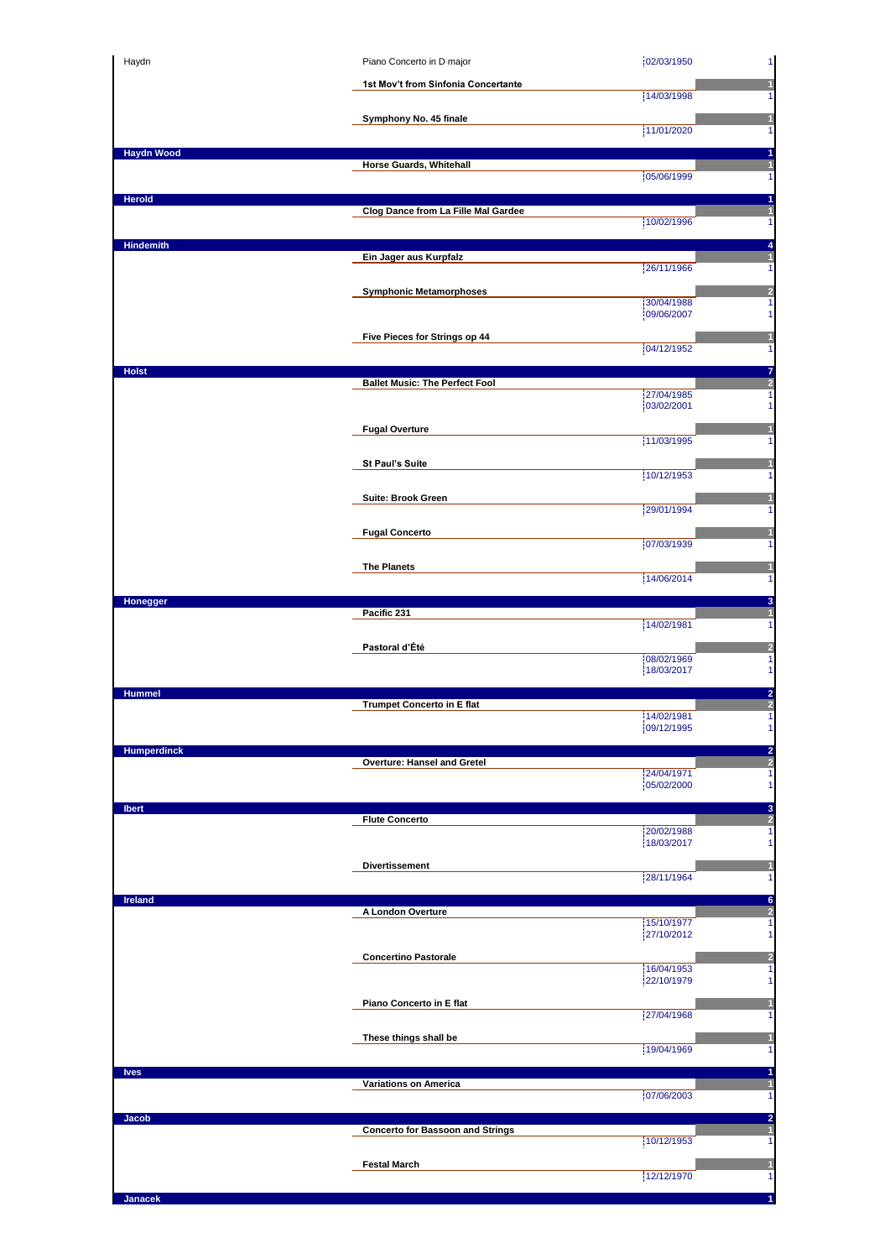| Haydn              | Piano Concerto in D major               | 02/03/1950<br>$\mathbf{1}$                                    |
|--------------------|-----------------------------------------|---------------------------------------------------------------|
|                    | 1st Mov't from Sinfonia Concertante     | 14/03/1998<br>1.                                              |
|                    | Symphony No. 45 finale                  | 11/01/2020                                                    |
| <b>Haydn Wood</b>  |                                         | $\mathbf{1}$<br>1                                             |
|                    | Horse Guards, Whitehall                 | 05/06/1999<br>$\mathbf{1}$                                    |
| <b>Herold</b>      |                                         | 1                                                             |
|                    | Clog Dance from La Fille Mal Gardee     | $\mathbf{1}$<br>10/02/1996<br>$\mathbf{1}$                    |
| <b>Hindemith</b>   | Ein Jager aus Kurpfalz                  | 4<br>1                                                        |
|                    |                                         | 26/11/1966<br>$\mathbf{1}$                                    |
|                    | <b>Symphonic Metamorphoses</b>          | 2<br>30/04/1988<br>$\mathbf{1}$<br>09/06/2007<br>$\mathbf{1}$ |
|                    | Five Pieces for Strings op 44           | 1                                                             |
|                    |                                         | 04/12/1952<br>$\mathbf{1}$                                    |
| <b>Holst</b>       | <b>Ballet Music: The Perfect Fool</b>   | 7<br>$\overline{\mathbf{c}}$<br>27/04/1985<br>1               |
|                    |                                         | 03/02/2001<br>$\mathbf{1}$                                    |
|                    | <b>Fugal Overture</b>                   | 1<br>11/03/1995<br>$\mathbf{1}$                               |
|                    | St Paul's Suite                         | п<br>10/12/1953<br>1                                          |
|                    | Suite: Brook Green                      |                                                               |
|                    |                                         | 29/01/1994<br>1                                               |
|                    | <b>Fugal Concerto</b>                   | 107/03/1939<br>$\mathbf{1}$                                   |
|                    | <b>The Planets</b>                      | 14/06/2014<br>1                                               |
| Honegger           |                                         | 3                                                             |
|                    | Pacific 231                             | 14/02/1981<br>$\mathbf{1}$                                    |
|                    | Pastoral d'Été                          | $\overline{\mathbf{c}}$<br>08/02/1969<br>$\mathbf{1}$         |
|                    |                                         | 18/03/2017<br>$\mathbf{1}$                                    |
| <b>Hummel</b>      | <b>Trumpet Concerto in E flat</b>       | $\overline{\mathbf{c}}$<br>2<br>14/02/1981<br>$\mathbf{1}$    |
|                    |                                         | 09/12/1995                                                    |
| <b>Humperdinck</b> | Overture: Hansel and Gretel             | $\frac{2}{2}$                                                 |
|                    |                                         | 24/04/1971<br>$\mathbf{1}$<br>05/02/2000<br>1                 |
| <b>Ibert</b>       | <b>Flute Concerto</b>                   | 3<br>$\overline{2}$                                           |
|                    |                                         | 20/02/1988<br>$\mathbf{1}$<br>18/03/2017<br>$\mathbf{1}$      |
|                    | <b>Divertissement</b>                   | 1<br>28/11/1964<br>$\mathbf{1}$                               |
| Ireland            |                                         | 6                                                             |
|                    | A London Overture                       | $\overline{2}$<br>15/10/1977<br>1                             |
|                    | <b>Concertino Pastorale</b>             | 27/10/2012<br>$\mathbf{1}$<br>$\overline{2}$                  |
|                    |                                         | 16/04/1953<br>1<br>22/10/1979<br>$\mathbf{1}$                 |
|                    | Piano Concerto in E flat                | 1<br>27/04/1968                                               |
|                    | These things shall be                   | $\mathbf{1}$<br>$\mathbf{1}$                                  |
|                    |                                         | 19/04/1969<br>$\mathbf{1}$                                    |
| <b>Ives</b>        | <b>Variations on America</b>            | 1<br>$\mathbf{1}$<br>07/06/2003<br>$\mathbf{1}$               |
| Jacob              |                                         | $\overline{a}$                                                |
|                    | <b>Concerto for Bassoon and Strings</b> | $\mathbf{1}$<br>10/12/1953<br>$\mathbf{1}$                    |
|                    |                                         |                                                               |
|                    | <b>Festal March</b>                     | $\mathbf{1}$<br>12/12/1970<br>$\mathbf{1}$                    |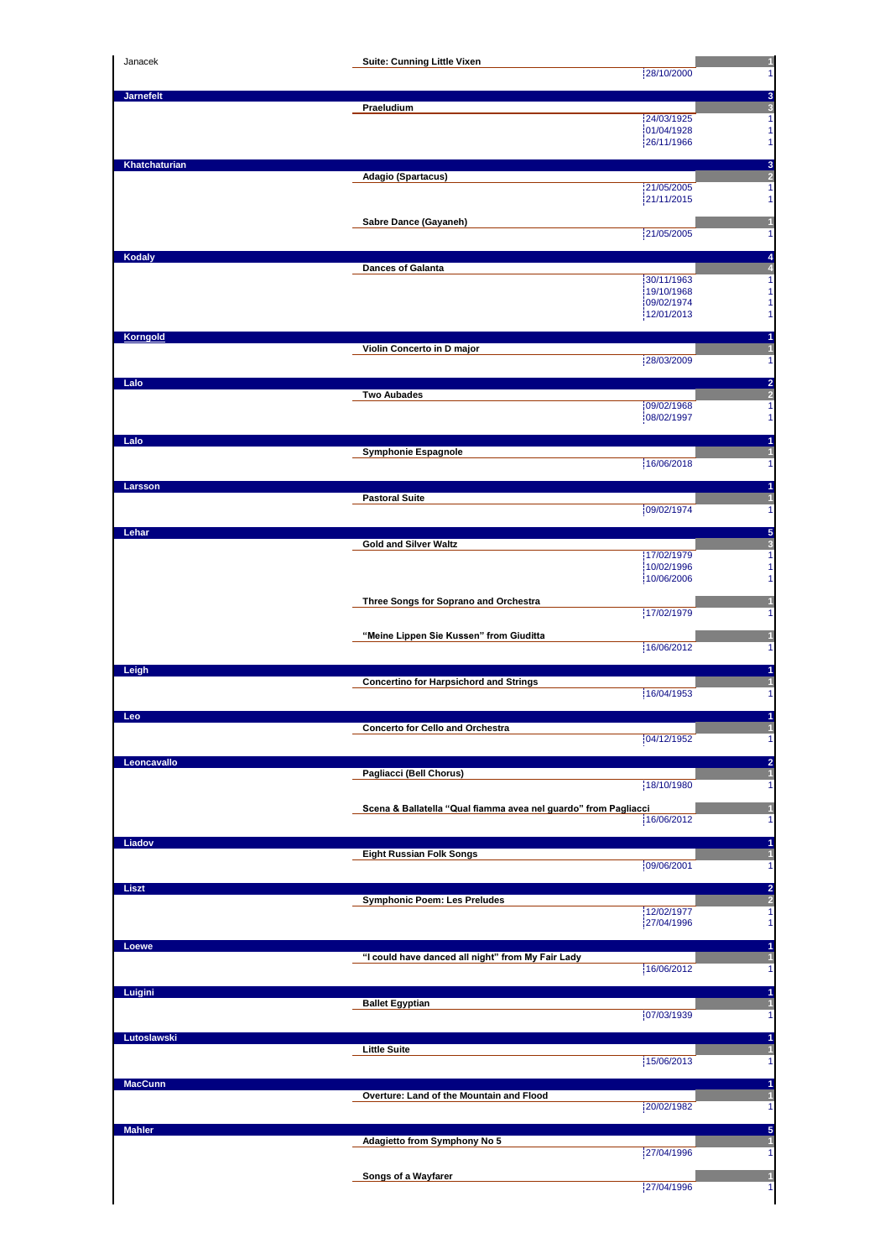| Janacek          | Suite: Cunning Little Vixen                                     | 1                                               |
|------------------|-----------------------------------------------------------------|-------------------------------------------------|
|                  |                                                                 | 28/10/2000<br>1                                 |
| <b>Jarnefelt</b> | Praeludium                                                      | 3<br>3                                          |
|                  |                                                                 | 24/03/1925<br>1                                 |
|                  |                                                                 | 01/04/1928<br>1<br>26/11/1966<br>1              |
|                  |                                                                 |                                                 |
| Khatchaturian    | Adagio (Spartacus)                                              | $\frac{3}{2}$                                   |
|                  |                                                                 | 21/05/2005<br>1<br>21/11/2015<br>1              |
|                  |                                                                 |                                                 |
|                  | Sabre Dance (Gayaneh)                                           | 1<br>21/05/2005<br>1                            |
|                  |                                                                 |                                                 |
| Kodaly           | <b>Dances of Galanta</b>                                        | $\frac{4}{4}$                                   |
|                  |                                                                 | 30/11/1963<br>1                                 |
|                  |                                                                 | 19/10/1968<br>1<br>09/02/1974<br>1              |
|                  |                                                                 | 12/01/2013<br>1                                 |
| Korngold         |                                                                 | 1                                               |
|                  | Violin Concerto in D major                                      | $\mathbf{1}$                                    |
|                  |                                                                 | 28/03/2009<br>1                                 |
| Lalo             |                                                                 | $\frac{2}{2}$                                   |
|                  | <b>Two Aubades</b>                                              | 09/02/1968<br>1                                 |
|                  |                                                                 | 08/02/1997<br>1                                 |
| Lalo             |                                                                 | 1                                               |
|                  | <b>Symphonie Espagnole</b>                                      | 1                                               |
|                  |                                                                 | 16/06/2018<br>1                                 |
| Larsson          |                                                                 | 1                                               |
|                  | <b>Pastoral Suite</b>                                           | 1<br>09/02/1974<br>1                            |
|                  |                                                                 |                                                 |
| Lehar            | <b>Gold and Silver Waltz</b>                                    | $\frac{5}{3}$                                   |
|                  |                                                                 | 17/02/1979<br>1<br>10/02/1996<br>1              |
|                  |                                                                 | 10/06/2006<br>1                                 |
|                  | Three Songs for Soprano and Orchestra                           |                                                 |
|                  |                                                                 | 17/02/1979<br>1                                 |
|                  | "Meine Lippen Sie Kussen" from Giuditta                         | н                                               |
|                  |                                                                 | 16/06/2012<br>1                                 |
| Leigh            |                                                                 | 1                                               |
|                  | <b>Concertino for Harpsichord and Strings</b>                   |                                                 |
|                  |                                                                 | 16/04/1953<br>1                                 |
| Leo              |                                                                 |                                                 |
|                  | <b>Concerto for Cello and Orchestra</b>                         | 04/12/1952<br>1                                 |
| Leoncavallo      |                                                                 | 2                                               |
|                  | Pagliacci (Bell Chorus)                                         |                                                 |
|                  |                                                                 | 18/10/1980<br>1                                 |
|                  | Scena & Ballatella "Qual fiamma avea nel guardo" from Pagliacci | 1                                               |
|                  |                                                                 | 16/06/2012<br>1                                 |
| Liadov           |                                                                 | 1                                               |
|                  | <b>Eight Russian Folk Songs</b>                                 | 09/06/2001<br>1                                 |
|                  |                                                                 |                                                 |
| Liszt            |                                                                 |                                                 |
|                  |                                                                 |                                                 |
|                  | <b>Symphonic Poem: Les Preludes</b>                             | 12/02/1977<br>1                                 |
|                  |                                                                 | 27/04/1996<br>1                                 |
| Loewe            |                                                                 | 1                                               |
|                  | "I could have danced all night" from My Fair Lady               | 16/06/2012<br>1                                 |
|                  |                                                                 |                                                 |
| Luigini          | <b>Ballet Egyptian</b>                                          | 1<br>$\mathbf{1}$                               |
|                  |                                                                 | 07/03/1939                                      |
| Lutoslawski      |                                                                 |                                                 |
|                  | <b>Little Suite</b>                                             |                                                 |
|                  |                                                                 | 15/06/2013                                      |
| <b>MacCunn</b>   | Overture: Land of the Mountain and Flood                        | 1                                               |
|                  |                                                                 | 20/02/1982                                      |
| <b>Mahler</b>    |                                                                 | 1<br>1<br>1<br>1<br>1                           |
|                  | Adagietto from Symphony No 5                                    |                                                 |
|                  |                                                                 | 27/04/1996                                      |
|                  | Songs of a Wayfarer                                             | $\frac{2}{2}$<br>5<br>1<br>1<br>27/04/1996<br>1 |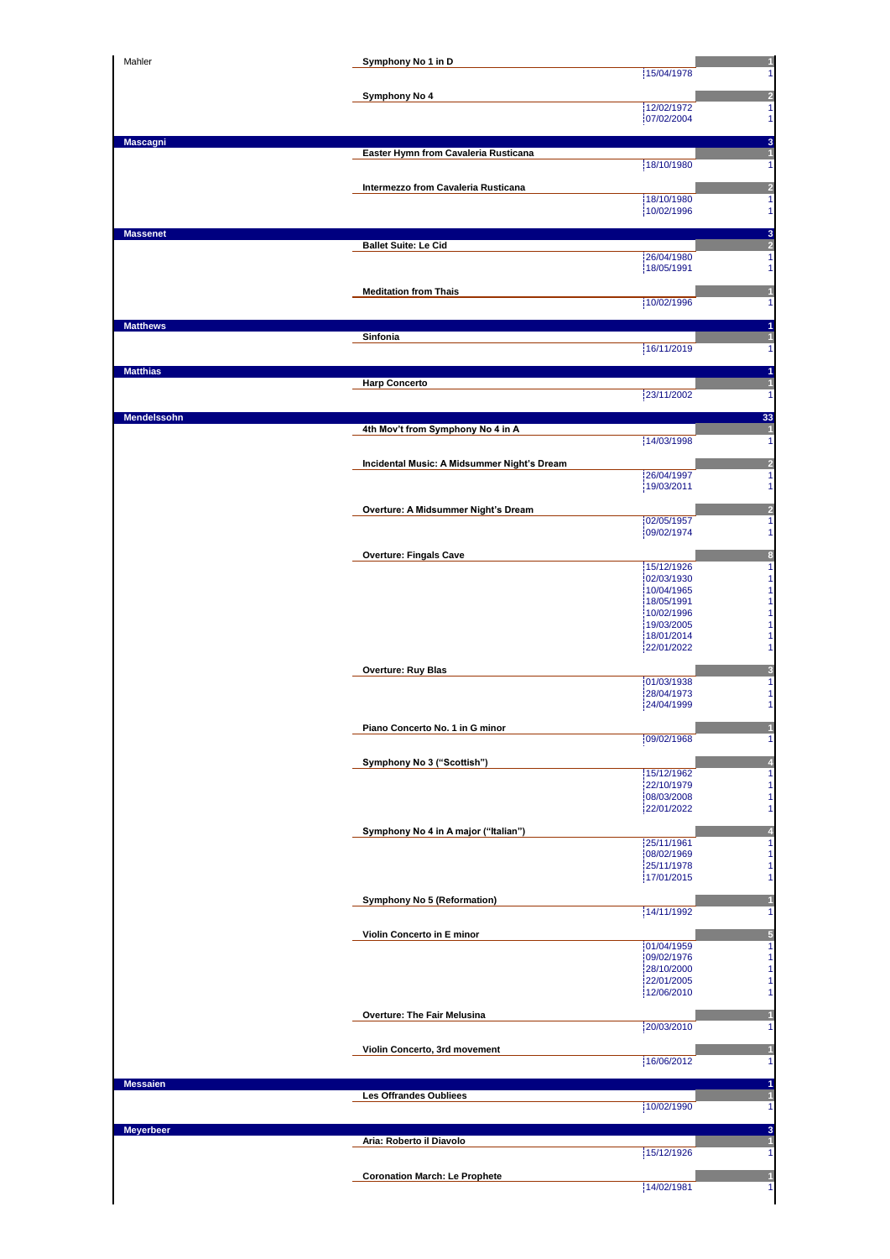| Mahler           | Symphony No 1 in D                          | 1<br>15/04/1978<br>1                       |
|------------------|---------------------------------------------|--------------------------------------------|
|                  | Symphony No 4                               |                                            |
|                  |                                             | $\frac{2}{1}$<br>12/02/1972                |
|                  |                                             | 07/02/2004<br>1                            |
| <b>Mascagni</b>  | Easter Hymn from Cavaleria Rusticana        | 3<br>$\overline{1}$                        |
|                  |                                             | 18/10/1980<br>1                            |
|                  | Intermezzo from Cavaleria Rusticana         | $\overline{\mathbf{c}}$                    |
|                  |                                             | 18/10/1980<br>1<br>10/02/1996<br>1         |
| <b>Massenet</b>  |                                             | 3                                          |
|                  | <b>Ballet Suite: Le Cid</b>                 | $\frac{2}{1}$<br>26/04/1980                |
|                  |                                             | 18/05/1991<br>1                            |
|                  | <b>Meditation from Thais</b>                | 1                                          |
|                  |                                             | 10/02/1996<br>1                            |
| <b>Matthews</b>  | Sinfonia                                    | 1<br>1                                     |
|                  |                                             | 16/11/2019<br>1                            |
| <b>Matthias</b>  |                                             | 1                                          |
|                  | <b>Harp Concerto</b>                        | 1<br>23/11/2002<br>1                       |
| Mendelssohn      |                                             | 33                                         |
|                  | 4th Mov't from Symphony No 4 in A           | $\overline{\mathbf{1}}$<br>14/03/1998      |
|                  |                                             | 1                                          |
|                  | Incidental Music: A Midsummer Night's Dream | $\frac{2}{1}$<br>26/04/1997                |
|                  |                                             | 19/03/2011<br>1                            |
|                  | Overture: A Midsummer Night's Dream         | $\overline{\mathbf{c}}$<br>02/05/1957<br>1 |
|                  |                                             | 09/02/1974<br>1                            |
|                  | <b>Overture: Fingals Cave</b>               | 8                                          |
|                  |                                             | 15/12/1926<br>1<br>1<br>02/03/1930         |
|                  |                                             | 1<br>10/04/1965                            |
|                  |                                             | 1<br>18/05/1991<br>1<br>10/02/1996         |
|                  |                                             | 1<br>19/03/2005<br>1<br>18/01/2014         |
|                  |                                             | 1<br>22/01/2022                            |
|                  | <b>Overture: Ruy Blas</b>                   | Đ<br>01/03/1938<br>1                       |
|                  |                                             | 28/04/1973<br>1                            |
|                  |                                             | 1<br>24/04/1999                            |
|                  | Piano Concerto No. 1 in G minor             | 09/02/1968<br>1                            |
|                  | Symphony No 3 ("Scottish")                  | $\overline{\mathbf{A}}$                    |
|                  |                                             | 15/12/1962<br>1                            |
|                  |                                             | 1<br>22/10/1979<br>08/03/2008<br>1         |
|                  |                                             | 1<br>22/01/2022                            |
|                  | Symphony No 4 in A major ("Italian")        | $\overline{a}$<br>1<br>25/11/1961          |
|                  |                                             | 08/02/1969<br>1                            |
|                  |                                             | 1<br>25/11/1978<br>1<br>17/01/2015         |
|                  | Symphony No 5 (Reformation)                 | 1                                          |
|                  |                                             | 14/11/1992<br>1                            |
|                  | Violin Concerto in E minor                  | $\frac{5}{1}$<br>01/04/1959                |
|                  |                                             | 09/02/1976<br>1                            |
|                  |                                             | 1<br>28/10/2000<br>1<br>22/01/2005         |
|                  |                                             | 1<br>12/06/2010                            |
|                  | <b>Overture: The Fair Melusina</b>          | 1<br>20/03/2010<br>1                       |
|                  |                                             |                                            |
|                  | Violin Concerto, 3rd movement               | 1<br>16/06/2012<br>1                       |
| <b>Messaien</b>  |                                             | 1                                          |
|                  | Les Offrandes Oubliees                      | $\mathbf{1}$<br>10/02/1990<br>1            |
|                  |                                             |                                            |
| <b>Meyerbeer</b> | Aria: Roberto il Diavolo                    | 3<br>$\mathbf{1}$                          |
|                  |                                             | 15/12/1926<br>1                            |
|                  | <b>Coronation March: Le Prophete</b>        | 1<br>14/02/1981<br>1                       |
|                  |                                             |                                            |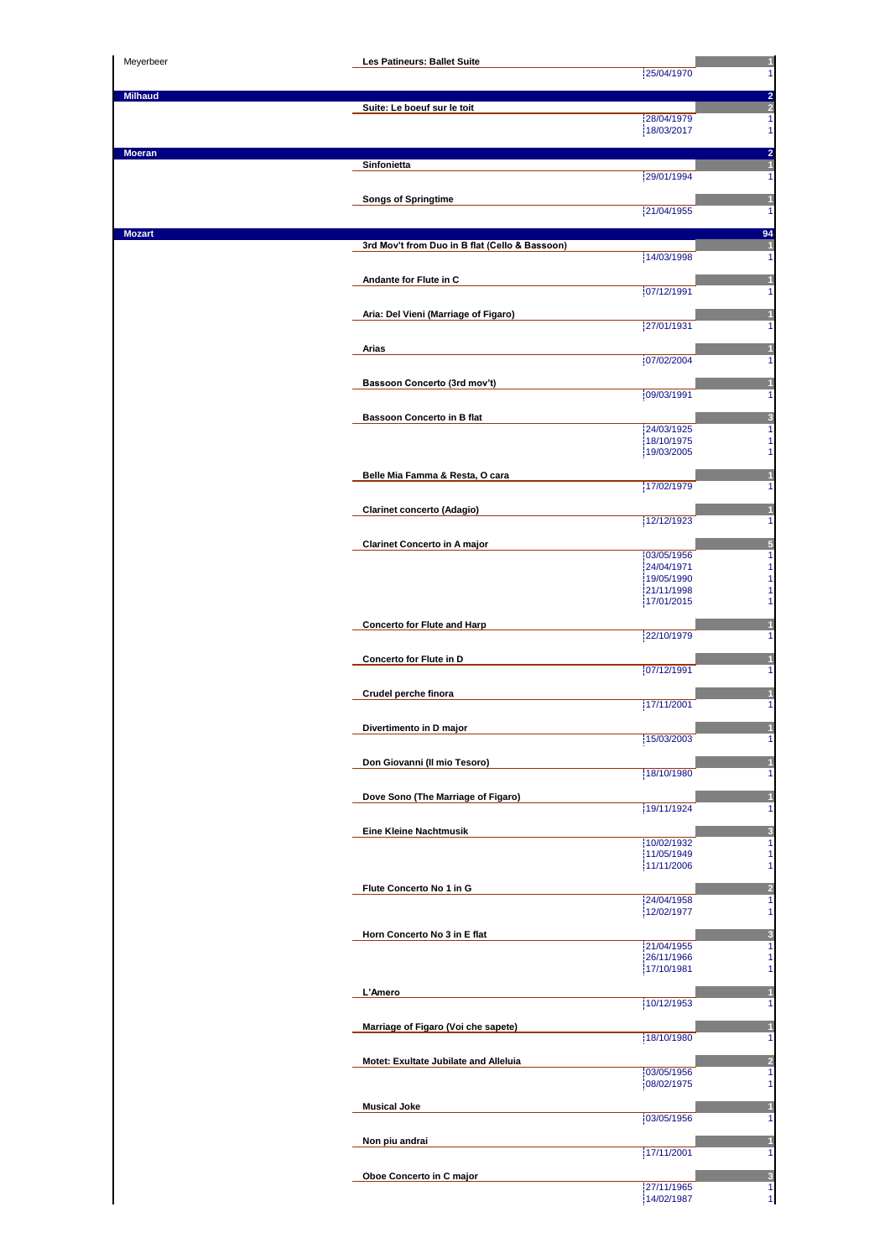| Meyerbeer      | Les Patineurs: Ballet Suite                    |                          |    |
|----------------|------------------------------------------------|--------------------------|----|
|                |                                                | 25/04/1970               |    |
| <b>Milhaud</b> | Suite: Le boeuf sur le toit                    |                          |    |
|                |                                                | 28/04/1979               | 1  |
|                |                                                | 18/03/2017               | 1  |
| Moeran         |                                                |                          |    |
|                | Sinfonietta                                    | 29/01/1994               |    |
|                |                                                |                          |    |
|                | <b>Songs of Springtime</b>                     | 21/04/1955               |    |
|                |                                                |                          |    |
| Mozart         | 3rd Mov't from Duo in B flat (Cello & Bassoon) |                          | 94 |
|                |                                                | 14/03/1998               |    |
|                | Andante for Flute in C                         |                          |    |
|                |                                                | 07/12/1991               |    |
|                | Aria: Del Vieni (Marriage of Figaro)           |                          |    |
|                |                                                | 27/01/1931               |    |
|                | <b>Arias</b>                                   |                          |    |
|                |                                                | 07/02/2004               |    |
|                |                                                |                          |    |
|                | Bassoon Concerto (3rd mov't)                   | 09/03/1991               |    |
|                |                                                |                          |    |
|                | <b>Bassoon Concerto in B flat</b>              | 24/03/1925               |    |
|                |                                                | 18/10/1975               |    |
|                |                                                | 19/03/2005               |    |
|                | Belle Mia Famma & Resta, O cara                |                          |    |
|                |                                                | 17/02/1979               |    |
|                | <b>Clarinet concerto (Adagio)</b>              |                          |    |
|                |                                                | 12/12/1923               |    |
|                | <b>Clarinet Concerto in A major</b>            |                          |    |
|                |                                                | 03/05/1956<br>24/04/1971 |    |
|                |                                                | 19/05/1990               |    |
|                |                                                | 21/11/1998<br>17/01/2015 |    |
|                |                                                |                          |    |
|                | <b>Concerto for Flute and Harp</b>             | 22/10/1979               |    |
|                |                                                |                          |    |
|                | Concerto for Flute in D                        | 07/12/1991               |    |
|                |                                                |                          |    |
|                | Crudel perche finora                           | 17/11/2001               |    |
|                |                                                |                          |    |
|                | Divertimento in D major                        | 15/03/2003               |    |
|                |                                                |                          |    |
|                | Don Giovanni (Il mio Tesoro)                   | 18/10/1980               |    |
|                |                                                |                          |    |
|                | Dove Sono (The Marriage of Figaro)             | 19/11/1924               |    |
|                |                                                |                          |    |
|                | <b>Eine Kleine Nachtmusik</b>                  |                          |    |
|                |                                                | 10/02/1932<br>11/05/1949 |    |
|                |                                                | 11/11/2006               |    |
|                | Flute Concerto No 1 in G                       |                          |    |
|                |                                                | 24/04/1958               |    |
|                |                                                | 12/02/1977               |    |
|                | Horn Concerto No 3 in E flat                   |                          |    |
|                |                                                | 21/04/1955<br>26/11/1966 |    |
|                |                                                | 17/10/1981               |    |
|                | L'Amero                                        |                          |    |
|                |                                                | 10/12/1953               |    |
|                | Marriage of Figaro (Voi che sapete)            |                          |    |
|                |                                                | 18/10/1980               |    |
|                | Motet: Exultate Jubilate and Alleluia          |                          |    |
|                |                                                | 03/05/1956               |    |
|                |                                                | 08/02/1975               |    |
|                | <b>Musical Joke</b>                            |                          |    |
|                |                                                | 03/05/1956               |    |
|                | Non piu andrai                                 |                          |    |
|                |                                                | 17/11/2001               |    |
|                | Oboe Concerto in C major                       |                          |    |
|                |                                                | 27/11/1965               | 1  |
|                |                                                | 14/02/1987               | 1  |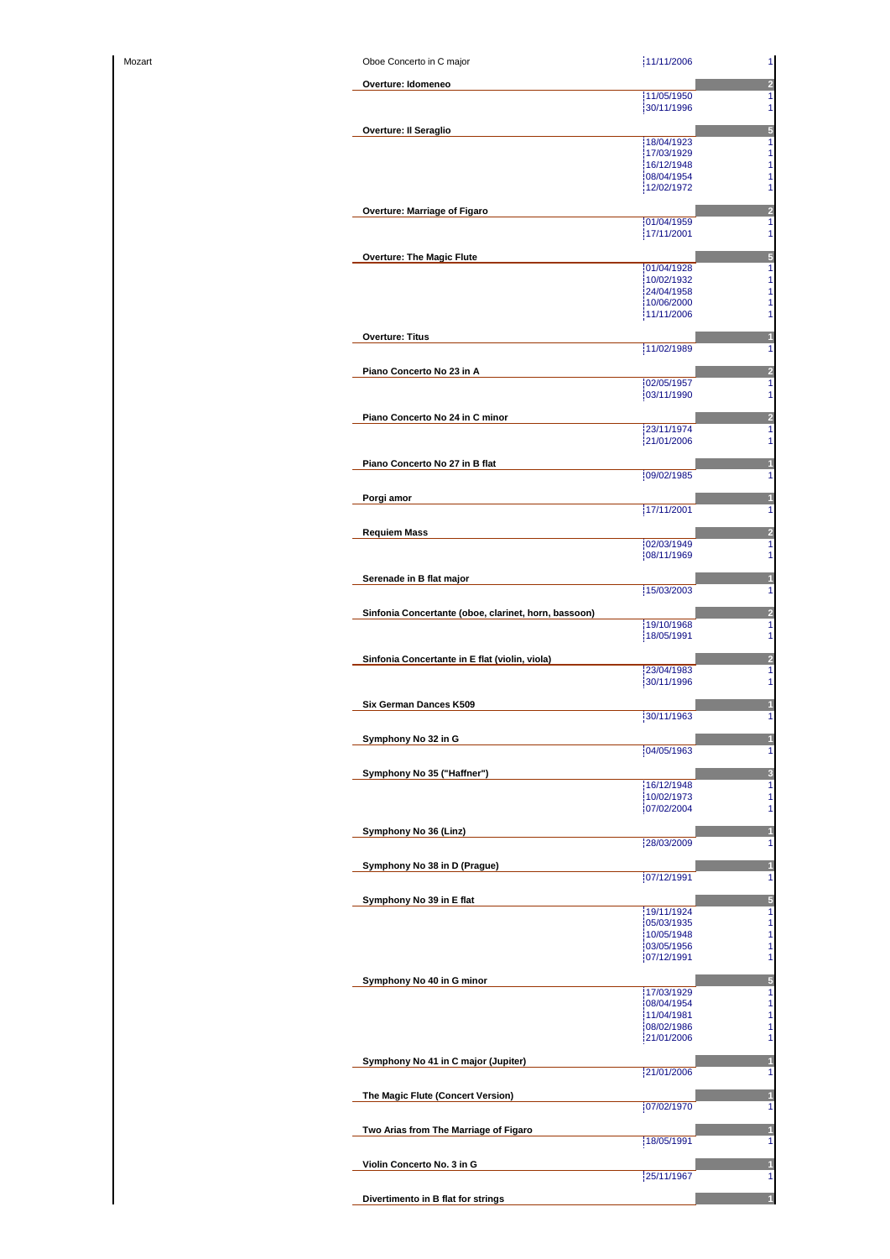| Mozart |
|--------|
|--------|

| Mozart | Oboe Concerto in C major                             | 11/11/2006               | $\mathbf{1}$                 |
|--------|------------------------------------------------------|--------------------------|------------------------------|
|        | Overture: Idomeneo                                   |                          | $\overline{a}$               |
|        |                                                      | 11/05/1950               | 1                            |
|        |                                                      | 30/11/1996               | 1                            |
|        | <b>Overture: Il Seraglio</b>                         |                          | 5                            |
|        |                                                      | 18/04/1923               | $\mathbf{1}$                 |
|        |                                                      | 17/03/1929<br>16/12/1948 | $\mathbf{1}$<br>$\mathbf{1}$ |
|        |                                                      | 08/04/1954               | 1                            |
|        |                                                      | 12/02/1972               | 1                            |
|        |                                                      |                          |                              |
|        | Overture: Marriage of Figaro                         | 01/04/1959               | $\overline{2}$<br>1          |
|        |                                                      | 17/11/2001               | 1                            |
|        |                                                      |                          |                              |
|        | <b>Overture: The Magic Flute</b>                     | 01/04/1928               | 5<br>$\mathbf{1}$            |
|        |                                                      | 10/02/1932               | 1                            |
|        |                                                      | 24/04/1958               | $\mathbf{1}$                 |
|        |                                                      | 10/06/2000               | 1                            |
|        |                                                      | 11/11/2006               | 1                            |
|        | <b>Overture: Titus</b>                               |                          |                              |
|        |                                                      | 11/02/1989               | 1                            |
|        | Piano Concerto No 23 in A                            |                          | 2                            |
|        |                                                      | 02/05/1957               | 1                            |
|        |                                                      | 03/11/1990               | 1                            |
|        | Piano Concerto No 24 in C minor                      |                          | $\overline{a}$               |
|        |                                                      | 23/11/1974               | 1                            |
|        |                                                      | 21/01/2006               | 1                            |
|        |                                                      |                          |                              |
|        | Piano Concerto No 27 in B flat                       | 09/02/1985               | 1                            |
|        |                                                      |                          |                              |
|        | Porgi amor                                           |                          |                              |
|        |                                                      | 17/11/2001               | 1                            |
|        | <b>Requiem Mass</b>                                  |                          | 2                            |
|        |                                                      | 02/03/1949               | 1                            |
|        |                                                      | 08/11/1969               | 1                            |
|        | Serenade in B flat major                             |                          | 1                            |
|        |                                                      | 15/03/2003               | 1                            |
|        |                                                      |                          |                              |
|        | Sinfonia Concertante (oboe, clarinet, horn, bassoon) | 19/10/1968               | $\overline{2}$<br>1          |
|        |                                                      | 18/05/1991               | 1                            |
|        |                                                      |                          |                              |
|        | Sinfonia Concertante in E flat (violin, viola)       | 23/04/1983               | $\overline{2}$<br>1          |
|        |                                                      | 30/11/1996               | 1                            |
|        |                                                      |                          |                              |
|        | Six German Dances K509                               | 30/11/1963               | 1                            |
|        |                                                      |                          |                              |
|        | Symphony No 32 in G                                  |                          |                              |
|        |                                                      | 04/05/1963               | 1                            |
|        | Symphony No 35 ("Haffner")                           |                          | 3                            |
|        |                                                      | 16/12/1948               | 1                            |
|        |                                                      | 10/02/1973<br>07/02/2004 | 1<br>1                       |
|        |                                                      |                          |                              |
|        | Symphony No 36 (Linz)                                |                          | 1                            |
|        |                                                      | 28/03/2009               | 1                            |
|        | Symphony No 38 in D (Prague)                         |                          | 1                            |
|        |                                                      | 07/12/1991               | 1                            |
|        | Symphony No 39 in E flat                             |                          | $\sqrt{5}$                   |
|        |                                                      | 19/11/1924               | $\mathbf{1}$                 |
|        |                                                      | 05/03/1935               | $\mathbf{1}$                 |
|        |                                                      | 10/05/1948               | $\mathbf{1}$                 |
|        |                                                      | 03/05/1956<br>07/12/1991 | $\mathbf{1}$<br>1            |
|        |                                                      |                          |                              |
|        | Symphony No 40 in G minor                            | 17/03/1929               | $\sqrt{5}$<br>$\mathbf{1}$   |
|        |                                                      | 08/04/1954               | $\mathbf{1}$                 |
|        |                                                      | 11/04/1981               | $\mathbf{1}$                 |
|        |                                                      | 08/02/1986<br>21/01/2006 | $\mathbf{1}$<br>1            |
|        |                                                      |                          |                              |
|        | Symphony No 41 in C major (Jupiter)                  |                          |                              |
|        |                                                      | 21/01/2006               | 1                            |
|        | The Magic Flute (Concert Version)                    |                          |                              |
|        |                                                      | 07/02/1970               | 1                            |
|        |                                                      |                          |                              |
|        | Two Arias from The Marriage of Figaro                | 18/05/1991               | 1<br>1                       |
|        |                                                      |                          |                              |
|        | Violin Concerto No. 3 in G                           |                          |                              |
|        |                                                      | 25/11/1967               | 1                            |
|        | Divertimento in B flat for strings                   |                          |                              |
|        |                                                      |                          |                              |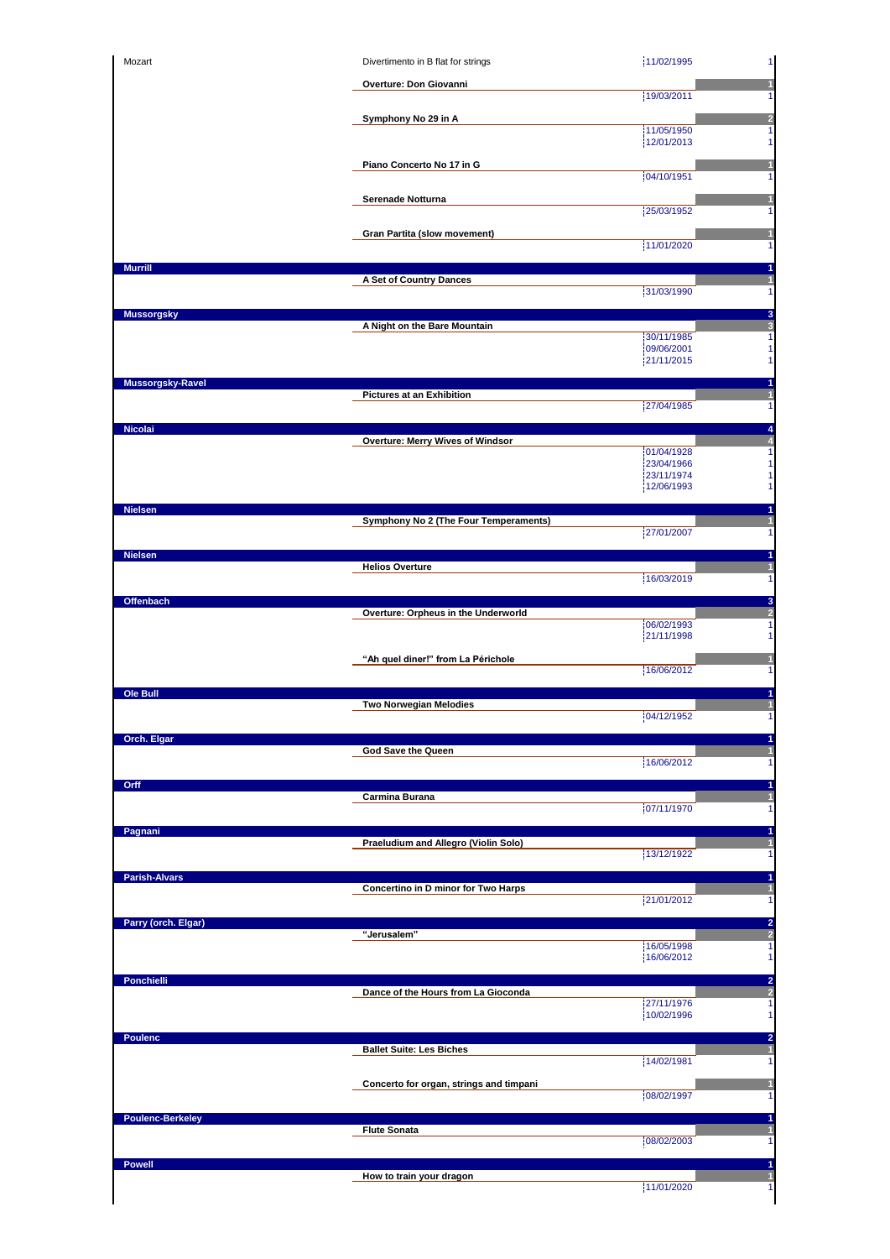|                                                                                                                                                   | Divertimento in B flat for strings      | 11/02/1995               |   |
|---------------------------------------------------------------------------------------------------------------------------------------------------|-----------------------------------------|--------------------------|---|
|                                                                                                                                                   | Overture: Don Giovanni                  |                          |   |
|                                                                                                                                                   |                                         | 19/03/2011               |   |
|                                                                                                                                                   | Symphony No 29 in A                     | 11/05/1950               |   |
|                                                                                                                                                   |                                         | 12/01/2013               |   |
|                                                                                                                                                   | Piano Concerto No 17 in G               |                          |   |
|                                                                                                                                                   |                                         | 04/10/1951               |   |
|                                                                                                                                                   | Serenade Notturna                       |                          |   |
|                                                                                                                                                   |                                         | 25/03/1952               |   |
|                                                                                                                                                   | Gran Partita (slow movement)            | 11/01/2020               |   |
|                                                                                                                                                   |                                         |                          |   |
| <b>Murrill</b>                                                                                                                                    | A Set of Country Dances                 |                          |   |
|                                                                                                                                                   |                                         | 31/03/1990               |   |
| <b>Mussorgsky</b>                                                                                                                                 |                                         |                          | 3 |
|                                                                                                                                                   | A Night on the Bare Mountain            | 30/11/1985               |   |
|                                                                                                                                                   |                                         | 09/06/2001<br>21/11/2015 |   |
|                                                                                                                                                   |                                         |                          |   |
| Mussorgsky-Ravel                                                                                                                                  | <b>Pictures at an Exhibition</b>        |                          |   |
|                                                                                                                                                   |                                         | 27/04/1985               |   |
| <b>Nicolai</b>                                                                                                                                    |                                         |                          |   |
|                                                                                                                                                   | Overture: Merry Wives of Windsor        | 01/04/1928               |   |
|                                                                                                                                                   |                                         | 23/04/1966               |   |
|                                                                                                                                                   |                                         | 23/11/1974<br>12/06/1993 |   |
| <b>Nielsen</b>                                                                                                                                    |                                         |                          |   |
|                                                                                                                                                   | Symphony No 2 (The Four Temperaments)   |                          |   |
|                                                                                                                                                   |                                         | 27/01/2007               |   |
| <b>Nielsen</b>                                                                                                                                    |                                         |                          |   |
|                                                                                                                                                   | <b>Helios Overture</b>                  | 16/03/2019               |   |
| Offenbach                                                                                                                                         |                                         |                          | з |
|                                                                                                                                                   | Overture: Orpheus in the Underworld     |                          |   |
|                                                                                                                                                   |                                         | 06/02/1993<br>21/11/1998 |   |
|                                                                                                                                                   |                                         |                          |   |
|                                                                                                                                                   | "Ah quel diner!" from La Périchole      | 16/06/2012               |   |
| Ole Bull                                                                                                                                          |                                         |                          |   |
|                                                                                                                                                   | Two Norwegian Melodies                  |                          |   |
|                                                                                                                                                   |                                         | 04/12/1952               |   |
| Orch. Elgar                                                                                                                                       | <b>God Save the Queen</b>               |                          |   |
|                                                                                                                                                   |                                         |                          |   |
|                                                                                                                                                   |                                         | 16/06/2012               |   |
|                                                                                                                                                   |                                         |                          |   |
|                                                                                                                                                   | Carmina Burana                          |                          |   |
|                                                                                                                                                   |                                         | 07/11/1970               |   |
|                                                                                                                                                   |                                         |                          |   |
|                                                                                                                                                   | Praeludium and Allegro (Violin Solo)    | 13/12/1922               |   |
|                                                                                                                                                   |                                         |                          |   |
|                                                                                                                                                   | Concertino in D minor for Two Harps     |                          |   |
|                                                                                                                                                   |                                         | 21/01/2012               |   |
|                                                                                                                                                   |                                         |                          | 2 |
|                                                                                                                                                   | "Jerusalem"                             | 16/05/1998               |   |
|                                                                                                                                                   |                                         | 16/06/2012               |   |
|                                                                                                                                                   |                                         |                          | 2 |
|                                                                                                                                                   | Dance of the Hours from La Gioconda     | 27/11/1976               |   |
|                                                                                                                                                   |                                         | 10/02/1996               |   |
|                                                                                                                                                   |                                         |                          |   |
|                                                                                                                                                   | <b>Ballet Suite: Les Biches</b>         |                          |   |
|                                                                                                                                                   |                                         | 14/02/1981               |   |
|                                                                                                                                                   | Concerto for organ, strings and timpani |                          |   |
|                                                                                                                                                   |                                         | 08/02/1997               |   |
|                                                                                                                                                   | <b>Flute Sonata</b>                     |                          |   |
|                                                                                                                                                   |                                         | 08/02/2003               |   |
| Orff<br>Pagnani<br><b>Parish-Alvars</b><br>Parry (orch. Elgar)<br><b>Ponchielli</b><br><b>Poulenc</b><br><b>Poulenc-Berkeley</b><br><b>Powell</b> | How to train your dragon                |                          |   |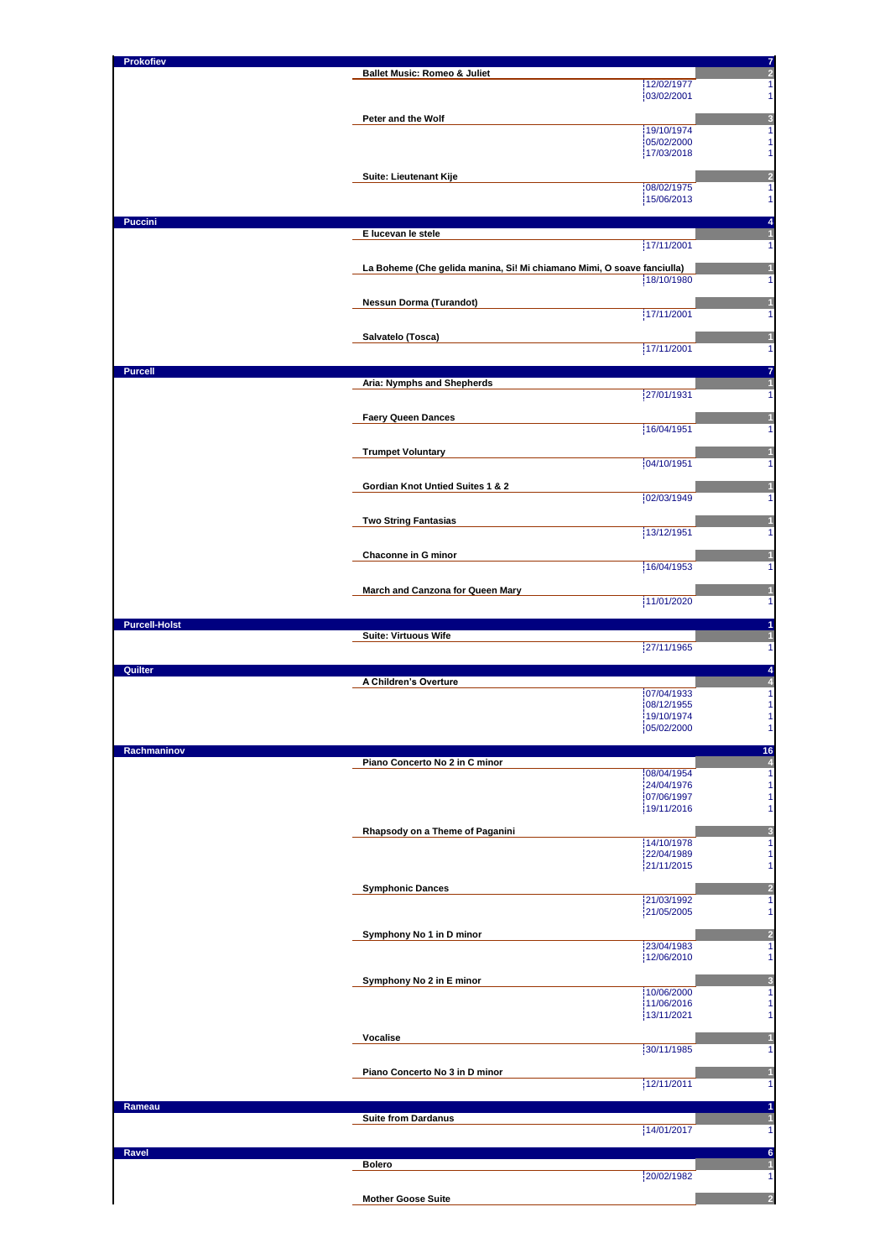| Prokofiev            | <b>Ballet Music: Romeo &amp; Juliet</b>                                | $\frac{7}{2}$                                                                                                                                                                                                                   |
|----------------------|------------------------------------------------------------------------|---------------------------------------------------------------------------------------------------------------------------------------------------------------------------------------------------------------------------------|
|                      |                                                                        | 12/02/1977<br>1                                                                                                                                                                                                                 |
|                      |                                                                        | 03/02/2001<br>1                                                                                                                                                                                                                 |
|                      | Peter and the Wolf                                                     | 3                                                                                                                                                                                                                               |
|                      |                                                                        | 19/10/1974<br>1                                                                                                                                                                                                                 |
|                      |                                                                        | 05/02/2000<br>1<br>17/03/2018<br>1                                                                                                                                                                                              |
|                      |                                                                        |                                                                                                                                                                                                                                 |
|                      | Suite: Lieutenant Kije                                                 | $\overline{\mathbf{c}}$                                                                                                                                                                                                         |
|                      |                                                                        | 08/02/1975<br>1<br>1                                                                                                                                                                                                            |
|                      |                                                                        | 15/06/2013                                                                                                                                                                                                                      |
| <b>Puccini</b>       |                                                                        | 4                                                                                                                                                                                                                               |
|                      | E lucevan le stele                                                     | $\mathbf{1}$<br>17/11/2001<br>1                                                                                                                                                                                                 |
|                      |                                                                        |                                                                                                                                                                                                                                 |
|                      | La Boheme (Che gelida manina, Si! Mi chiamano Mimi, O soave fanciulla) |                                                                                                                                                                                                                                 |
|                      |                                                                        | 18/10/1980<br>1                                                                                                                                                                                                                 |
|                      | <b>Nessun Dorma (Turandot)</b>                                         |                                                                                                                                                                                                                                 |
|                      |                                                                        | 17/11/2001<br>1                                                                                                                                                                                                                 |
|                      | Salvatelo (Tosca)                                                      | 1                                                                                                                                                                                                                               |
|                      |                                                                        | 17/11/2001<br>1                                                                                                                                                                                                                 |
|                      |                                                                        |                                                                                                                                                                                                                                 |
| <b>Purcell</b>       | Aria: Nymphs and Shepherds                                             | 7                                                                                                                                                                                                                               |
|                      |                                                                        | 27/01/1931<br>1                                                                                                                                                                                                                 |
|                      |                                                                        |                                                                                                                                                                                                                                 |
|                      | <b>Faery Queen Dances</b>                                              | 1<br>16/04/1951<br>1                                                                                                                                                                                                            |
|                      |                                                                        |                                                                                                                                                                                                                                 |
|                      | <b>Trumpet Voluntary</b>                                               | 1                                                                                                                                                                                                                               |
|                      |                                                                        | 04/10/1951<br>1                                                                                                                                                                                                                 |
|                      | Gordian Knot Untied Suites 1 & 2                                       | 1                                                                                                                                                                                                                               |
|                      |                                                                        | 02/03/1949<br>1                                                                                                                                                                                                                 |
|                      | <b>Two String Fantasias</b>                                            | 1                                                                                                                                                                                                                               |
|                      |                                                                        | 13/12/1951<br>1                                                                                                                                                                                                                 |
|                      |                                                                        |                                                                                                                                                                                                                                 |
|                      | Chaconne in G minor                                                    | 16/04/1953<br>1                                                                                                                                                                                                                 |
|                      |                                                                        |                                                                                                                                                                                                                                 |
|                      | March and Canzona for Queen Mary                                       | 1                                                                                                                                                                                                                               |
|                      |                                                                        | 11/01/2020                                                                                                                                                                                                                      |
| <b>Purcell-Holst</b> |                                                                        | 1                                                                                                                                                                                                                               |
|                      |                                                                        |                                                                                                                                                                                                                                 |
|                      | <b>Suite: Virtuous Wife</b>                                            | 1                                                                                                                                                                                                                               |
|                      |                                                                        | 27/11/1965                                                                                                                                                                                                                      |
| Quilter              |                                                                        |                                                                                                                                                                                                                                 |
|                      | A Children's Overture                                                  | 1<br>$\frac{4}{4}$<br>07/04/1933                                                                                                                                                                                                |
|                      |                                                                        | 08/12/1955                                                                                                                                                                                                                      |
|                      |                                                                        | 19/10/1974                                                                                                                                                                                                                      |
|                      |                                                                        | 05/02/2000                                                                                                                                                                                                                      |
| Rachmaninov          |                                                                        |                                                                                                                                                                                                                                 |
|                      | Piano Concerto No 2 in C minor                                         | 08/04/1954                                                                                                                                                                                                                      |
|                      |                                                                        | 24/04/1976                                                                                                                                                                                                                      |
|                      |                                                                        | 07/06/1997                                                                                                                                                                                                                      |
|                      |                                                                        | 19/11/2016                                                                                                                                                                                                                      |
|                      | Rhapsody on a Theme of Paganini                                        |                                                                                                                                                                                                                                 |
|                      |                                                                        | 14/10/1978                                                                                                                                                                                                                      |
|                      |                                                                        | 22/04/1989<br>21/11/2015                                                                                                                                                                                                        |
|                      |                                                                        |                                                                                                                                                                                                                                 |
|                      | <b>Symphonic Dances</b>                                                | 21/03/1992                                                                                                                                                                                                                      |
|                      |                                                                        | 21/05/2005                                                                                                                                                                                                                      |
|                      |                                                                        |                                                                                                                                                                                                                                 |
|                      | Symphony No 1 in D minor                                               | 23/04/1983                                                                                                                                                                                                                      |
|                      |                                                                        | 12/06/2010                                                                                                                                                                                                                      |
|                      |                                                                        |                                                                                                                                                                                                                                 |
|                      | Symphony No 2 in E minor                                               | 10/06/2000                                                                                                                                                                                                                      |
|                      |                                                                        | 11/06/2016                                                                                                                                                                                                                      |
|                      |                                                                        | 13/11/2021                                                                                                                                                                                                                      |
|                      | Vocalise                                                               |                                                                                                                                                                                                                                 |
|                      |                                                                        | 30/11/1985                                                                                                                                                                                                                      |
|                      |                                                                        |                                                                                                                                                                                                                                 |
|                      | Piano Concerto No 3 in D minor                                         | 12/11/2011                                                                                                                                                                                                                      |
|                      |                                                                        |                                                                                                                                                                                                                                 |
| Rameau               |                                                                        |                                                                                                                                                                                                                                 |
|                      | <b>Suite from Dardanus</b>                                             | 14/01/2017                                                                                                                                                                                                                      |
|                      |                                                                        |                                                                                                                                                                                                                                 |
| Ravel                | <b>Bolero</b>                                                          |                                                                                                                                                                                                                                 |
|                      |                                                                        | 1<br>1<br>1<br>$\overline{\mathbf{1}}$<br>$\mathbf{1}$<br>20/02/1982                                                                                                                                                            |
|                      | <b>Mother Goose Suite</b>                                              | $\mathbf{1}$<br>1<br>1<br>$\begin{array}{c}\n16 \\ 4 \\ 1\n\end{array}$<br>$\mathbf{1}$<br>$\mathbf{1}$<br>1<br>3<br>1<br>1<br>1<br>$\frac{2}{1}$<br>1<br>$\overline{a}$<br>1<br>3<br>1<br>1<br>1<br>1<br>1<br>1<br>6<br>1<br>2 |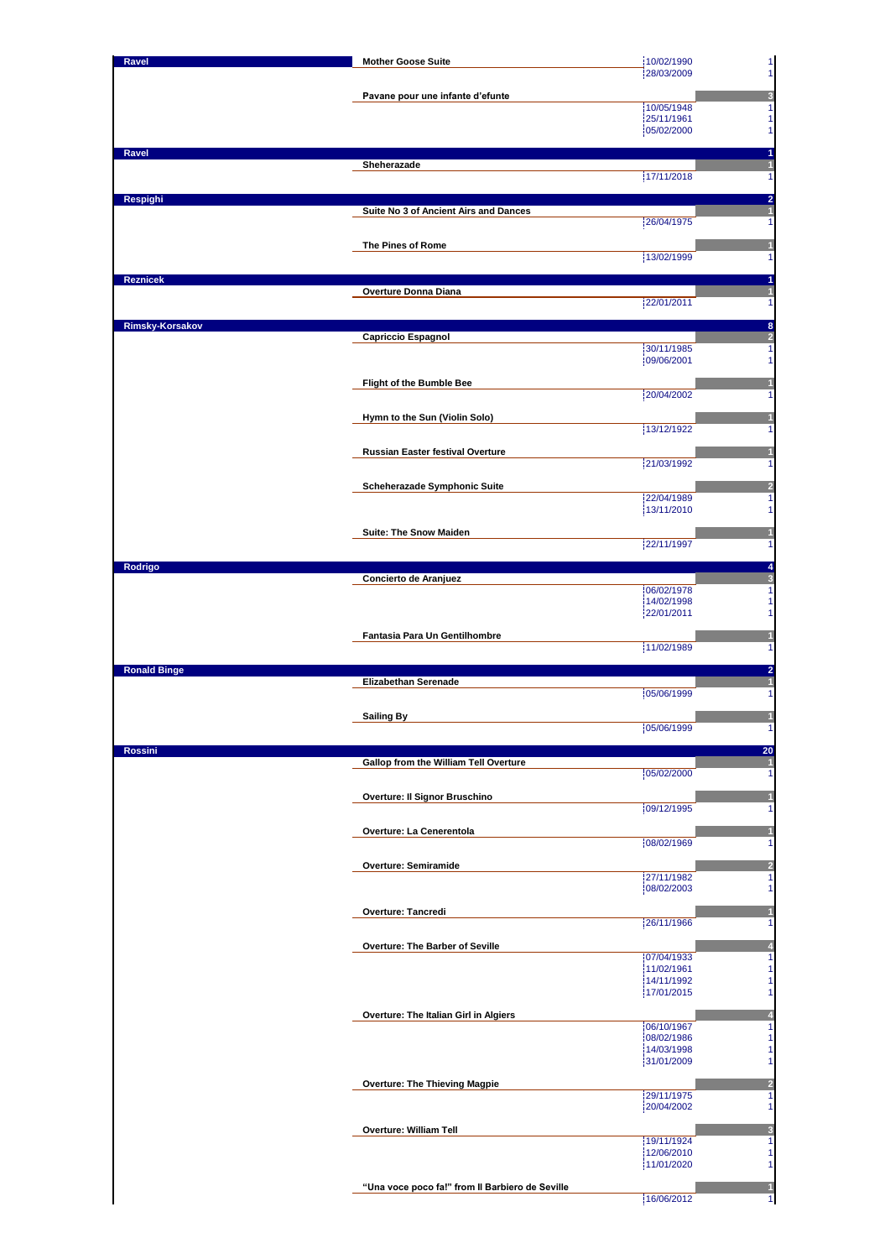| Ravel               | <b>Mother Goose Suite</b>                       | 10/02/1990<br>28/03/2009 | $\mathbf{1}$                                                                                                                                                   |
|---------------------|-------------------------------------------------|--------------------------|----------------------------------------------------------------------------------------------------------------------------------------------------------------|
|                     |                                                 |                          | $\mathbf{1}$                                                                                                                                                   |
|                     | Pavane pour une infante d'efunte                | 10/05/1948               | 3<br>$\mathbf{1}$                                                                                                                                              |
|                     |                                                 | 25/11/1961               | $\mathbf{1}$                                                                                                                                                   |
|                     |                                                 | 05/02/2000               | $\mathbf{1}$                                                                                                                                                   |
| Ravel               |                                                 |                          | 1                                                                                                                                                              |
|                     | Sheherazade                                     | 17/11/2018               | $\mathbf{1}$<br>$\mathbf{1}$                                                                                                                                   |
|                     |                                                 |                          |                                                                                                                                                                |
| Respighi            | Suite No 3 of Ancient Airs and Dances           |                          | $\overline{2}$<br>$\mathbf{1}$                                                                                                                                 |
|                     |                                                 | 26/04/1975               | $\mathbf{1}$                                                                                                                                                   |
|                     | The Pines of Rome                               |                          | $\mathbf{1}$                                                                                                                                                   |
|                     |                                                 | 13/02/1999               | $\mathbf{1}$                                                                                                                                                   |
| <b>Reznicek</b>     |                                                 |                          | 1                                                                                                                                                              |
|                     | Overture Donna Diana                            | 22/01/2011               | 1<br>$\mathbf{1}$                                                                                                                                              |
|                     |                                                 |                          |                                                                                                                                                                |
| Rimsky-Korsakov     | Capriccio Espagnol                              |                          | 8<br>$\overline{2}$                                                                                                                                            |
|                     |                                                 | 30/11/1985               | 1                                                                                                                                                              |
|                     |                                                 | 09/06/2001               | $\mathbf{1}$                                                                                                                                                   |
|                     | Flight of the Bumble Bee                        |                          | 1                                                                                                                                                              |
|                     |                                                 | 20/04/2002               | $\mathbf{1}$                                                                                                                                                   |
|                     | Hymn to the Sun (Violin Solo)                   | 13/12/1922               | 1<br>1                                                                                                                                                         |
|                     |                                                 |                          |                                                                                                                                                                |
|                     | <b>Russian Easter festival Overture</b>         | 21/03/1992               | 1<br>$\mathbf{1}$                                                                                                                                              |
|                     |                                                 |                          |                                                                                                                                                                |
|                     | Scheherazade Symphonic Suite                    | 22/04/1989               | 2<br>1                                                                                                                                                         |
|                     |                                                 | 13/11/2010               | $\mathbf{1}$                                                                                                                                                   |
|                     | Suite: The Snow Maiden                          |                          | $\mathbf{1}$                                                                                                                                                   |
|                     |                                                 | 22/11/1997               | $\mathbf{1}$                                                                                                                                                   |
| Rodrigo             |                                                 |                          | 4                                                                                                                                                              |
|                     | Concierto de Aranjuez                           |                          | 3                                                                                                                                                              |
|                     |                                                 | 06/02/1978<br>14/02/1998 | 1<br>$\mathbf{1}$                                                                                                                                              |
|                     |                                                 | 22/01/2011               | $\mathbf{1}$                                                                                                                                                   |
|                     |                                                 |                          |                                                                                                                                                                |
|                     |                                                 |                          |                                                                                                                                                                |
|                     | Fantasia Para Un Gentilhombre                   | 11/02/1989               | 1                                                                                                                                                              |
| <b>Ronald Binge</b> |                                                 |                          | 1<br>$\overline{\mathbf{c}}$                                                                                                                                   |
|                     | <b>Elizabethan Serenade</b>                     |                          | $\mathbf{1}$                                                                                                                                                   |
|                     |                                                 | 05/06/1999               |                                                                                                                                                                |
|                     | <b>Sailing By</b>                               |                          | $\mathbf{1}$                                                                                                                                                   |
|                     |                                                 | 105/06/1999              | $\mathbf{1}$<br>11                                                                                                                                             |
| <b>Rossini</b>      |                                                 |                          |                                                                                                                                                                |
|                     | Gallop from the William Tell Overture           | 05/02/2000               | 1                                                                                                                                                              |
|                     |                                                 |                          | 20<br>1                                                                                                                                                        |
|                     | Overture: Il Signor Bruschino                   | 09/12/1995               | $\vert$<br>$\mathbf{1}$                                                                                                                                        |
|                     | Overture: La Cenerentola                        |                          | $\mathbf{1}$                                                                                                                                                   |
|                     |                                                 | 08/02/1969               | $\mathbf{1}$                                                                                                                                                   |
|                     | Overture: Semiramide                            |                          | 2                                                                                                                                                              |
|                     |                                                 | 27/11/1982               |                                                                                                                                                                |
|                     |                                                 | 08/02/2003               | 1<br>$\mathbf{1}$                                                                                                                                              |
|                     | <b>Overture: Tancredi</b>                       |                          | $\mathbf{1}$                                                                                                                                                   |
|                     |                                                 | 26/11/1966               | $\mathbf{1}$                                                                                                                                                   |
|                     | Overture: The Barber of Seville                 | 07/04/1933               |                                                                                                                                                                |
|                     |                                                 | 11/02/1961               | 4<br>$\mathbf{1}$<br>$\mathbf{1}$                                                                                                                              |
|                     |                                                 | 14/11/1992<br>17/01/2015 | $\mathbf{1}$<br>$\mathbf{1}$                                                                                                                                   |
|                     |                                                 |                          |                                                                                                                                                                |
|                     | Overture: The Italian Girl in Algiers           | 06/10/1967               | 4<br>$\mathbf{1}$                                                                                                                                              |
|                     |                                                 | 08/02/1986               | $\mathbf{1}$                                                                                                                                                   |
|                     |                                                 | 14/03/1998<br>31/01/2009 |                                                                                                                                                                |
|                     |                                                 |                          |                                                                                                                                                                |
|                     | <b>Overture: The Thieving Magpie</b>            | 29/11/1975               |                                                                                                                                                                |
|                     |                                                 | 20/04/2002               |                                                                                                                                                                |
|                     | <b>Overture: William Tell</b>                   |                          |                                                                                                                                                                |
|                     |                                                 | 19/11/1924               |                                                                                                                                                                |
|                     |                                                 | 12/06/2010<br>11/01/2020 |                                                                                                                                                                |
|                     | "Una voce poco fa!" from Il Barbiero de Seville |                          | $\mathbf{1}$<br>$\mathbf{1}$<br>$\overline{2}$<br>$\mathbf{1}$<br>$\mathbf{1}$<br>$\overline{\mathbf{3}}$<br>$\mathbf{1}$<br>$\mathbf{1}$<br>$\mathbf{1}$<br>1 |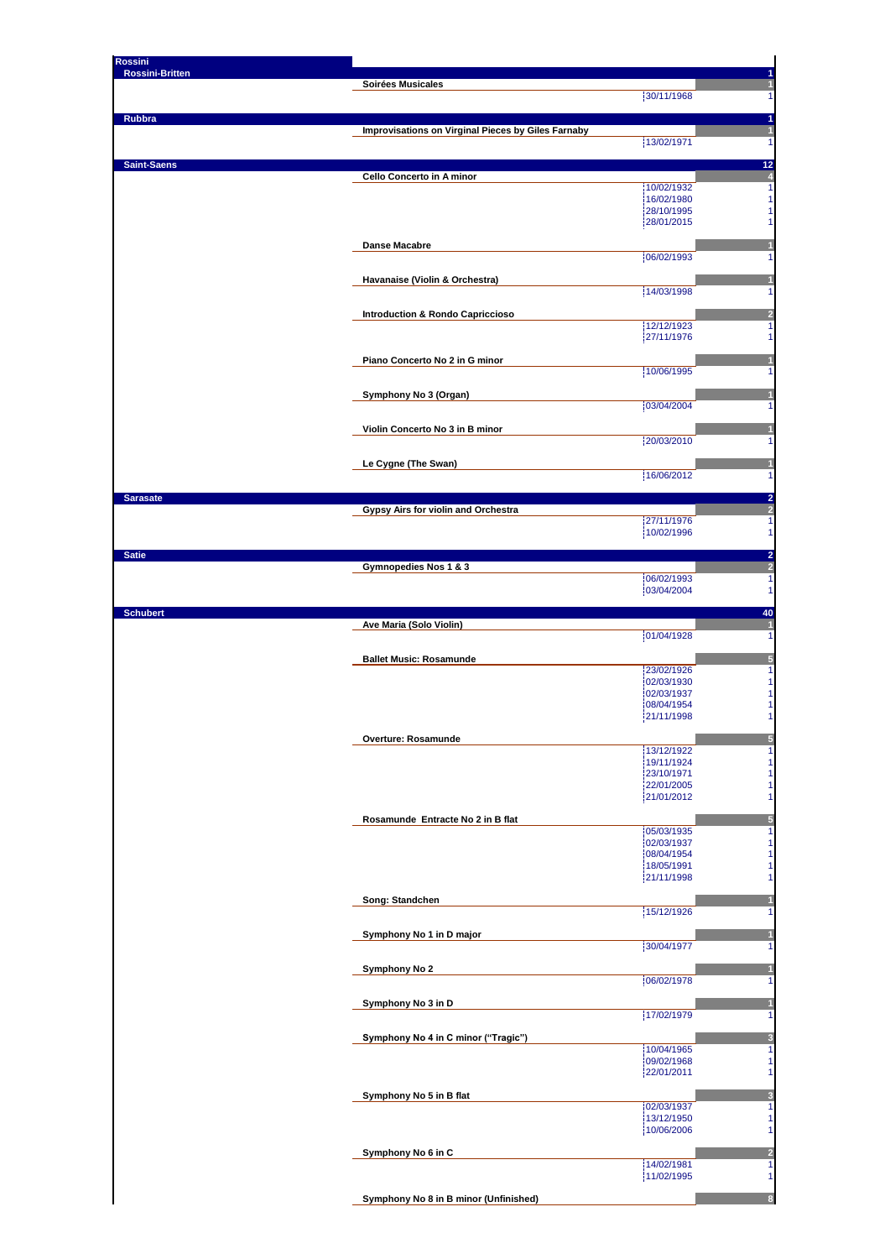| <b>Rossini</b>         |                                                    |                          |                                  |
|------------------------|----------------------------------------------------|--------------------------|----------------------------------|
| <b>Rossini-Britten</b> | Soirées Musicales                                  |                          |                                  |
|                        |                                                    | 30/11/1968               |                                  |
| Rubbra                 |                                                    |                          |                                  |
|                        | Improvisations on Virginal Pieces by Giles Farnaby | 13/02/1971               |                                  |
|                        |                                                    |                          |                                  |
| <b>Saint-Saens</b>     | Cello Concerto in A minor                          |                          | 12                               |
|                        |                                                    | 10/02/1932               | 1                                |
|                        |                                                    | 16/02/1980<br>28/10/1995 | 1<br>1                           |
|                        |                                                    | 28/01/2015               |                                  |
|                        | <b>Danse Macabre</b>                               |                          |                                  |
|                        |                                                    | 06/02/1993               |                                  |
|                        | Havanaise (Violin & Orchestra)                     |                          |                                  |
|                        |                                                    | 14/03/1998               |                                  |
|                        | <b>Introduction &amp; Rondo Capriccioso</b>        |                          |                                  |
|                        |                                                    | 12/12/1923<br>27/11/1976 | f                                |
|                        |                                                    |                          |                                  |
|                        | Piano Concerto No 2 in G minor                     | 10/06/1995               |                                  |
|                        |                                                    |                          |                                  |
|                        | Symphony No 3 (Organ)                              | 03/04/2004               |                                  |
|                        |                                                    |                          |                                  |
|                        | Violin Concerto No 3 in B minor                    | 20/03/2010               |                                  |
|                        |                                                    |                          |                                  |
|                        | Le Cygne (The Swan)                                | 16/06/2012               |                                  |
|                        |                                                    |                          |                                  |
| <b>Sarasate</b>        | Gypsy Airs for violin and Orchestra                |                          | 2<br>Þ.                          |
|                        |                                                    | 27/11/1976               | 1                                |
|                        |                                                    | 10/02/1996               | 1                                |
| <b>Satie</b>           |                                                    |                          | $\overline{2}$<br>$\overline{a}$ |
|                        | Gymnopedies Nos 1 & 3                              | 06/02/1993               | 1                                |
|                        |                                                    | 03/04/2004               | 1                                |
| <b>Schubert</b>        |                                                    |                          | 40                               |
|                        | Ave Maria (Solo Violin)                            | 01/04/1928               | 1                                |
|                        |                                                    |                          |                                  |
|                        | <b>Ballet Music: Rosamunde</b>                     | 23/02/1926               |                                  |
|                        |                                                    | 02/03/1930               |                                  |
|                        |                                                    | 02/03/1937<br>08/04/1954 |                                  |
|                        |                                                    | 21/11/1998               |                                  |
|                        | Overture: Rosamunde                                |                          | Ŀ                                |
|                        |                                                    | 13/12/1922               | 1                                |
|                        |                                                    | 19/11/1924<br>23/10/1971 | 1                                |
|                        |                                                    | 22/01/2005               | 1                                |
|                        |                                                    | 21/01/2012               | 1                                |
|                        | Rosamunde Entracte No 2 in B flat                  |                          | 5                                |
|                        |                                                    | 05/03/1935<br>02/03/1937 | 1<br>1                           |
|                        |                                                    | 08/04/1954               |                                  |
|                        |                                                    | 18/05/1991<br>21/11/1998 | 1                                |
|                        |                                                    |                          |                                  |
|                        | Song: Standchen                                    | 15/12/1926               |                                  |
|                        |                                                    |                          |                                  |
|                        | Symphony No 1 in D major                           | 30/04/1977               |                                  |
|                        | Symphony No 2                                      |                          |                                  |
|                        |                                                    | 06/02/1978               |                                  |
|                        | Symphony No 3 in D                                 |                          |                                  |
|                        |                                                    | 17/02/1979               | 1                                |
|                        | Symphony No 4 in C minor ("Tragic")                |                          | ĸ                                |
|                        |                                                    | 10/04/1965               | 1                                |
|                        |                                                    | 09/02/1968<br>22/01/2011 | 1<br>1                           |
|                        |                                                    |                          |                                  |
|                        | Symphony No 5 in B flat                            | 02/03/1937               | 1                                |
|                        |                                                    | 13/12/1950               | 1                                |
|                        |                                                    | 10/06/2006               |                                  |
|                        | Symphony No 6 in C                                 |                          |                                  |
|                        |                                                    | 14/02/1981<br>11/02/1995 | 1<br>1                           |
|                        |                                                    |                          |                                  |
|                        | Symphony No 8 in B minor (Unfinished)              |                          |                                  |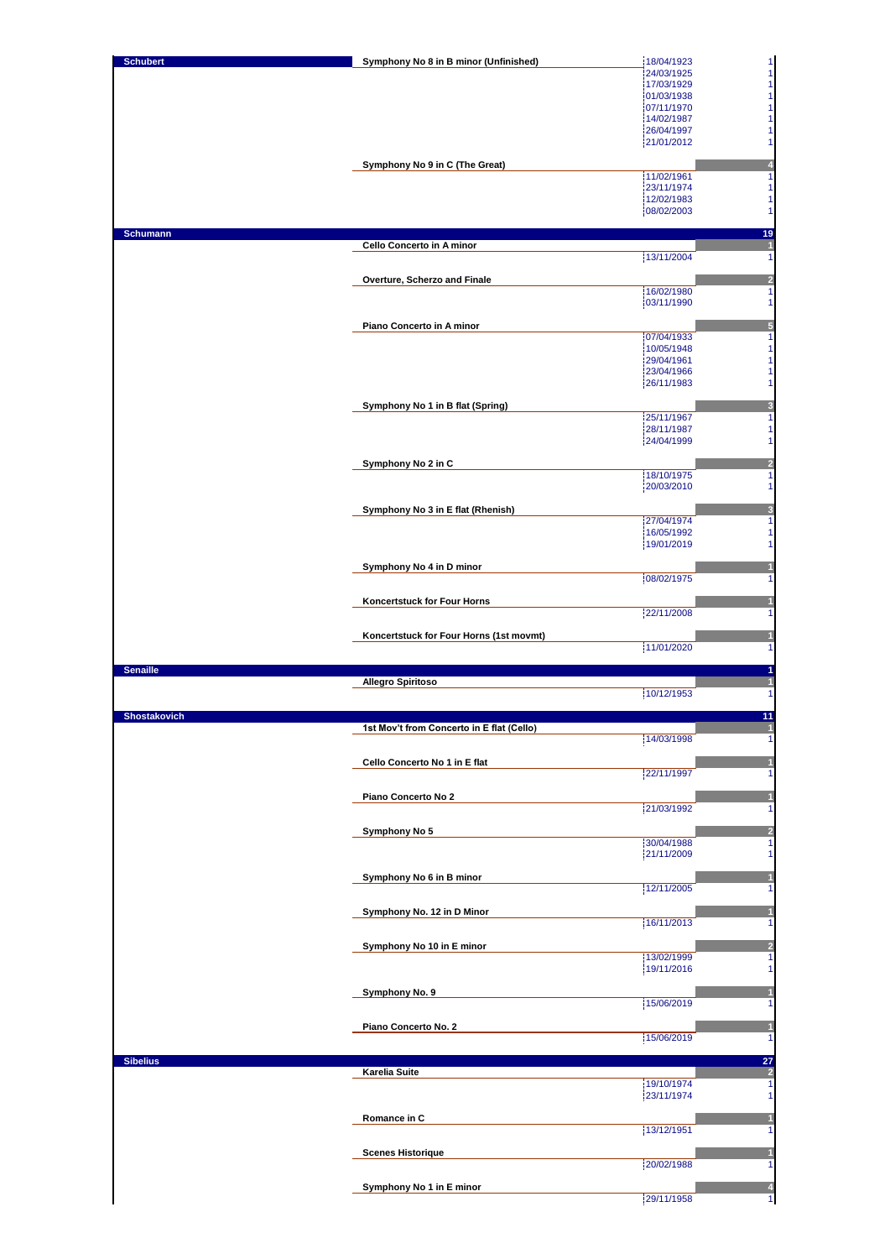| <b>Schubert</b> | Symphony No 8 in B minor (Unfinished)            | 18/04/1923                                               |
|-----------------|--------------------------------------------------|----------------------------------------------------------|
|                 |                                                  | $\frac{1}{1}$<br>24/03/1925                              |
|                 |                                                  | $\mathbf{1}$<br>17/03/1929<br>$\mathbf{1}$<br>01/03/1938 |
|                 |                                                  | $\mathbf{1}$<br>07/11/1970                               |
|                 |                                                  | $\mathbf{1}$<br>14/02/1987                               |
|                 |                                                  | $\mathbf{1}$<br>26/04/1997                               |
|                 |                                                  | 21/01/2012<br>$\mathbf{1}$                               |
|                 | Symphony No 9 in C (The Great)                   | 4                                                        |
|                 |                                                  | 11/02/1961<br>$\mathbf{1}$                               |
|                 |                                                  | 23/11/1974<br>$\mathbf{1}$                               |
|                 |                                                  | 12/02/1983<br>1                                          |
|                 |                                                  | 1<br>08/02/2003                                          |
| <b>Schumann</b> |                                                  | 19                                                       |
|                 | Cello Concerto in A minor                        | $\overline{\mathbf{1}}$                                  |
|                 |                                                  | 13/11/2004<br>$\mathbf{1}$                               |
|                 |                                                  |                                                          |
|                 | Overture, Scherzo and Finale                     | $\overline{\mathbf{c}}$<br>$\overline{1}$<br>16/02/1980  |
|                 |                                                  | 03/11/1990<br>$\mathbf{1}$                               |
|                 |                                                  |                                                          |
|                 | Piano Concerto in A minor                        | 5                                                        |
|                 |                                                  | 07/04/1933<br>$\mathbf{1}$<br>10/05/1948<br>$\mathbf{1}$ |
|                 |                                                  | 29/04/1961<br>$\mathbf{1}$                               |
|                 |                                                  | 23/04/1966<br>$\mathbf{1}$                               |
|                 |                                                  | 26/11/1983<br>$\mathbf{1}$                               |
|                 |                                                  |                                                          |
|                 | Symphony No 1 in B flat (Spring)                 | $\overline{\mathbf{3}}$<br>25/11/1967<br>$\mathbf{1}$    |
|                 |                                                  | 28/11/1987<br>$\mathbf{1}$                               |
|                 |                                                  | 24/04/1999<br>$\mathbf{1}$                               |
|                 |                                                  |                                                          |
|                 | Symphony No 2 in C                               | $\overline{2}$<br>18/10/1975<br>$\mathbf{1}$             |
|                 |                                                  | 20/03/2010<br>$\mathbf{1}$                               |
|                 |                                                  |                                                          |
|                 | Symphony No 3 in E flat (Rhenish)                | $\overline{\mathbf{3}}$                                  |
|                 |                                                  | 27/04/1974<br>$\mathbf{1}$                               |
|                 |                                                  | 16/05/1992<br>$\mathbf{1}$<br>19/01/2019<br>$\mathbf{1}$ |
|                 |                                                  |                                                          |
|                 | Symphony No 4 in D minor                         | $\mathbf{1}$                                             |
|                 |                                                  | 08/02/1975<br>$\mathbf{1}$                               |
|                 | Koncertstuck for Four Horns                      | 1                                                        |
|                 |                                                  | 22/11/2008<br>1                                          |
|                 |                                                  |                                                          |
|                 | Koncertstuck for Four Horns (1st movmt)          | $\vert$                                                  |
|                 |                                                  |                                                          |
|                 |                                                  | 11/01/2020<br>$\mathbf{1}$                               |
| <b>Senaille</b> |                                                  | 1                                                        |
|                 | <b>Allegro Spiritoso</b>                         | $\mathbf{1}$                                             |
|                 |                                                  | 10/12/1953<br>$\overline{1}$                             |
| Shostakovich    |                                                  | 11                                                       |
|                 | <u>1st Mov't from Concerto in E flat (Cello)</u> |                                                          |
|                 |                                                  | 14/03/1998<br>1                                          |
|                 |                                                  | $\mathbf{1}$                                             |
|                 | Cello Concerto No 1 in E flat                    | 22/11/1997<br>1                                          |
|                 |                                                  |                                                          |
|                 | Piano Concerto No 2                              | $\mathbf{1}$                                             |
|                 |                                                  | 21/03/1992<br>$\mathbf{1}$                               |
|                 | Symphony No 5                                    | $\overline{2}$                                           |
|                 |                                                  | 30/04/1988<br>1                                          |
|                 |                                                  | 21/11/2009<br>$\mathbf{1}$                               |
|                 | Symphony No 6 in B minor                         | $\mathbf{1}$                                             |
|                 |                                                  | 12/11/2005<br>$\mathbf{1}$                               |
|                 |                                                  |                                                          |
|                 | Symphony No. 12 in D Minor                       | $\mathbf{1}$                                             |
|                 |                                                  | 16/11/2013<br>$\mathbf{1}$                               |
|                 | Symphony No 10 in E minor                        | $\overline{\mathbf{c}}$                                  |
|                 |                                                  | 13/02/1999<br>$\mathbf{1}$                               |
|                 |                                                  | 19/11/2016<br>$\mathbf{1}$                               |
|                 | Symphony No. 9                                   | 1                                                        |
|                 |                                                  | 15/06/2019<br>$\mathbf{1}$                               |
|                 |                                                  |                                                          |
|                 | Piano Concerto No. 2                             | $\mathbf{1}$                                             |
|                 |                                                  | 15/06/2019<br>$\mathbf{1}$                               |
| <b>Sibelius</b> |                                                  | 27                                                       |
|                 | <b>Karelia Suite</b>                             | $\overline{2}$                                           |
|                 |                                                  | 19/10/1974<br>1                                          |
|                 |                                                  | 23/11/1974<br>$\mathbf{1}$                               |
|                 | Romance in C                                     | $\vert$                                                  |
|                 |                                                  | 13/12/1951<br>$\mathbf{1}$                               |
|                 |                                                  |                                                          |
|                 | <b>Scenes Historique</b>                         | 1<br>$\mathbf{1}$                                        |
|                 |                                                  | 20/02/1988                                               |
|                 | Symphony No 1 in E minor                         | 4<br>29/11/1958<br>$\vert$                               |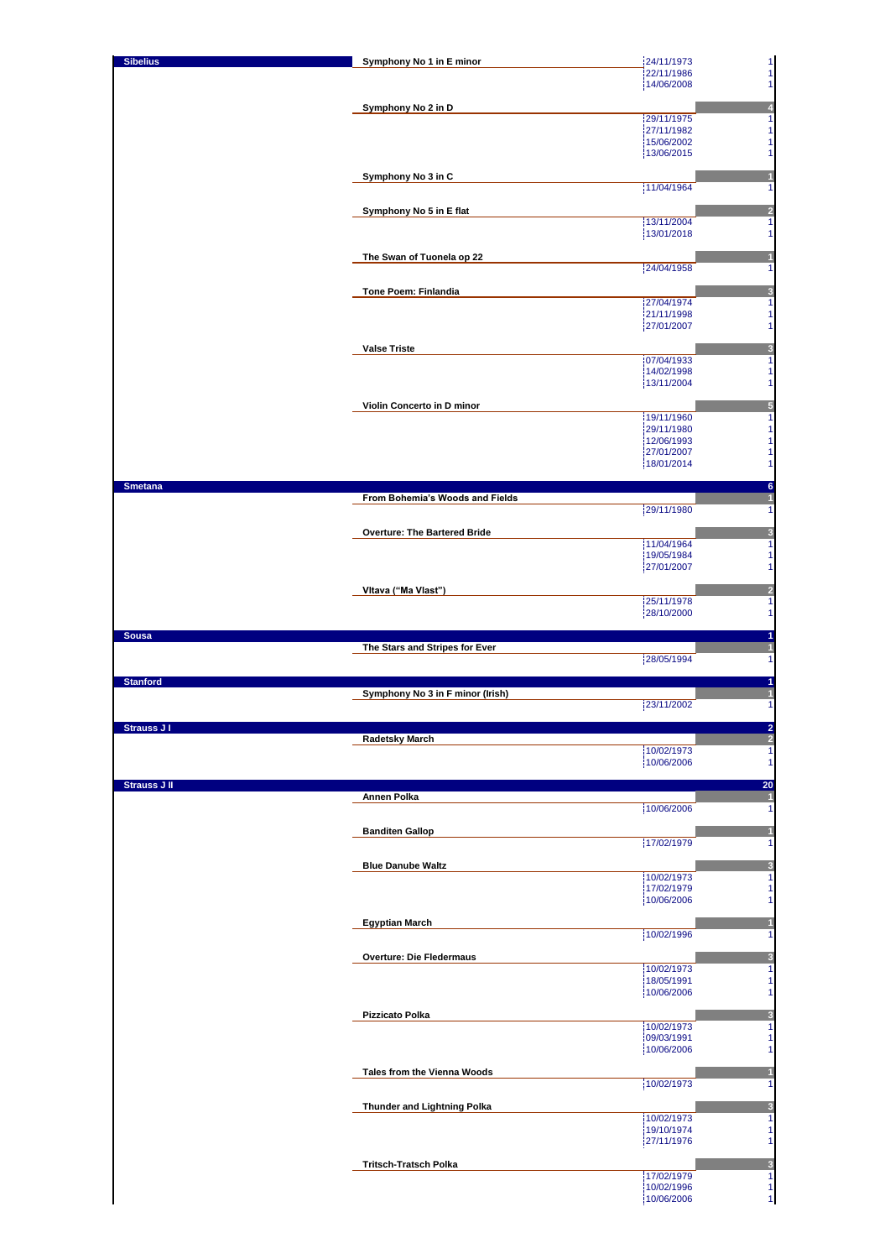| <b>Sibelius</b>     | Symphony No 1 in E minor            | 24/11/1973<br>$\mathbf{1}$                               |
|---------------------|-------------------------------------|----------------------------------------------------------|
|                     |                                     | $\mathbf{1}$<br>22/11/1986<br>14/06/2008<br>$\mathbf{1}$ |
|                     |                                     |                                                          |
|                     | Symphony No 2 in D                  | $\overline{\mathbf{r}}$                                  |
|                     |                                     | 29/11/1975<br>1<br>27/11/1982<br>$\mathbf{1}$            |
|                     |                                     | 15/06/2002<br>11                                         |
|                     |                                     | 13/06/2015<br>11                                         |
|                     | Symphony No 3 in C                  |                                                          |
|                     |                                     | 11/04/1964<br>1                                          |
|                     | Symphony No 5 in E flat             | 2                                                        |
|                     |                                     | 13/11/2004<br>1                                          |
|                     |                                     | 13/01/2018<br>$\mathbf{1}$                               |
|                     | The Swan of Tuonela op 22           |                                                          |
|                     |                                     | 24/04/1958<br>1                                          |
|                     |                                     |                                                          |
|                     | Tone Poem: Finlandia                | 3<br>27/04/1974<br>$\mathbf{1}$                          |
|                     |                                     | 21/11/1998<br>$\mathbf{1}$                               |
|                     |                                     | 27/01/2007<br>11                                         |
|                     | <b>Valse Triste</b>                 | 3                                                        |
|                     |                                     | 07/04/1933<br>1                                          |
|                     |                                     | 14/02/1998<br>$\mathbf{1}$<br>13/11/2004<br>$\mathbf{1}$ |
|                     |                                     |                                                          |
|                     | Violin Concerto in D minor          | 5                                                        |
|                     |                                     | 19/11/1960<br>1<br>29/11/1980<br>11                      |
|                     |                                     | 12/06/1993<br>$\mathbf{1}$                               |
|                     |                                     | 27/01/2007<br>$\mathbf{1}$                               |
|                     |                                     | 18/01/2014<br>$\mathbf{1}$                               |
| <b>Smetana</b>      |                                     | 6                                                        |
|                     | From Bohemia's Woods and Fields     | 29/11/1980<br>11                                         |
|                     |                                     |                                                          |
|                     | <b>Overture: The Bartered Bride</b> | 3                                                        |
|                     |                                     | 11/04/1964<br>1<br>19/05/1984<br>$\mathbf{1}$            |
|                     |                                     | 27/01/2007<br>1                                          |
|                     |                                     |                                                          |
|                     | Vitava ("Ma Viast")                 | $\overline{a}$<br>25/11/1978<br>1                        |
|                     |                                     | 28/10/2000<br>11                                         |
| <b>Sousa</b>        |                                     | 1                                                        |
|                     | The Stars and Stripes for Ever      |                                                          |
|                     |                                     |                                                          |
|                     |                                     | 28/05/1994<br>1                                          |
| <b>Stanford</b>     |                                     | 1                                                        |
|                     | Symphony No 3 in F minor (Irish)    |                                                          |
|                     |                                     | 23/11/2002<br>1                                          |
| <b>Strauss J I</b>  |                                     | z                                                        |
|                     | <b>Radetsky March</b>               | $\overline{a}$                                           |
|                     |                                     | 10/02/1973<br>$\mathbf{1}$<br>10/06/2006<br>$\mathbf{1}$ |
|                     |                                     |                                                          |
| <b>Strauss J II</b> | Annen Polka                         | 20<br>1                                                  |
|                     |                                     | 10/06/2006<br>1                                          |
|                     |                                     |                                                          |
|                     | <b>Banditen Gallop</b>              | 17/02/1979<br>1                                          |
|                     |                                     |                                                          |
|                     | <b>Blue Danube Waltz</b>            | 3<br>1                                                   |
|                     |                                     | 10/02/1973<br>17/02/1979<br>1                            |
|                     |                                     | 10/06/2006<br>$\mathbf{1}$                               |
|                     | <b>Egyptian March</b>               | $\blacksquare$                                           |
|                     |                                     | 10/02/1996<br>1                                          |
|                     |                                     |                                                          |
|                     | <b>Overture: Die Fledermaus</b>     | 3<br>10/02/1973<br>1                                     |
|                     |                                     | 18/05/1991<br>$\mathbf{1}$                               |
|                     |                                     | 10/06/2006<br>$\mathbf{1}$                               |
|                     | Pizzicato Polka                     | 3                                                        |
|                     |                                     | 10/02/1973<br>1                                          |
|                     |                                     | 09/03/1991<br>1<br>10/06/2006<br>$\mathbf{1}$            |
|                     |                                     |                                                          |
|                     | Tales from the Vienna Woods         |                                                          |
|                     |                                     | 10/02/1973<br>$\mathbf{1}$                               |
|                     | Thunder and Lightning Polka         | 3                                                        |
|                     |                                     | 10/02/1973<br>1                                          |
|                     |                                     | 19/10/1974<br>$\mathbf{1}$<br>27/11/1976<br>1            |
|                     |                                     |                                                          |
|                     | <b>Tritsch-Tratsch Polka</b>        | $\overline{\mathbf{3}}$<br>17/02/1979<br>1               |
|                     |                                     | 10/02/1996<br>11<br>10/06/2006<br>1                      |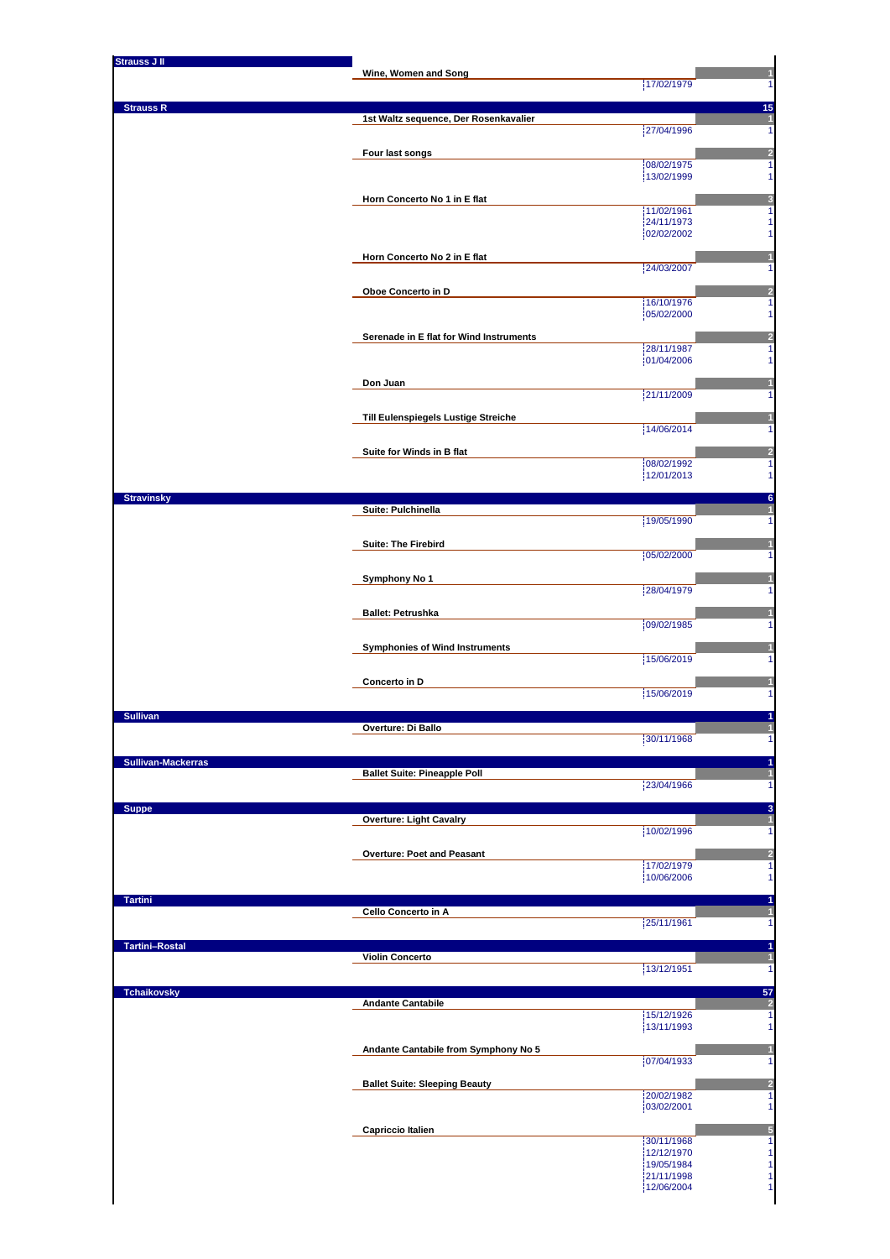| <b>Strauss J II</b>       |                                         |                          |         |
|---------------------------|-----------------------------------------|--------------------------|---------|
|                           | Wine, Women and Song                    | 17/02/1979               |         |
| <b>Strauss R</b>          |                                         |                          | 15      |
|                           | 1st Waltz sequence, Der Rosenkavalier   | 27/04/1996               |         |
|                           | Four last songs                         |                          |         |
|                           |                                         | 08/02/1975               | 1       |
|                           |                                         | 13/02/1999               |         |
|                           | Horn Concerto No 1 in E flat            | 11/02/1961               |         |
|                           |                                         | 24/11/1973<br>02/02/2002 |         |
|                           |                                         |                          |         |
|                           | Horn Concerto No 2 in E flat            | 24/03/2007               |         |
|                           | Oboe Concerto in D                      |                          |         |
|                           |                                         | 16/10/1976<br>05/02/2000 |         |
|                           |                                         |                          |         |
|                           | Serenade in E flat for Wind Instruments | 28/11/1987               | 1       |
|                           |                                         | 01/04/2006               |         |
|                           | Don Juan                                |                          |         |
|                           |                                         | 21/11/2009               |         |
|                           | Till Eulenspiegels Lustige Streiche     | 14/06/2014               |         |
|                           | Suite for Winds in B flat               |                          |         |
|                           |                                         | 08/02/1992               |         |
|                           |                                         | 12/01/2013               |         |
| <b>Stravinsky</b>         | Suite: Pulchinella                      |                          | 6       |
|                           |                                         | 19/05/1990               |         |
|                           | <b>Suite: The Firebird</b>              |                          |         |
|                           |                                         | 05/02/2000               |         |
|                           | Symphony No 1                           | 28/04/1979               |         |
|                           |                                         |                          |         |
|                           | <b>Ballet: Petrushka</b>                | 09/02/1985               |         |
|                           | <b>Symphonies of Wind Instruments</b>   |                          |         |
|                           |                                         | 15/06/2019               |         |
|                           | Concerto in D                           |                          |         |
|                           |                                         | 15/06/2019               |         |
| <b>Sullivan</b>           | Overture: Di Ballo                      |                          |         |
|                           |                                         | 30/11/1968               |         |
| <b>Sullivan-Mackerras</b> |                                         |                          |         |
|                           | <b>Ballet Suite: Pineapple Poll</b>     | 23/04/1966               |         |
|                           |                                         |                          |         |
| <b>Suppe</b>              | <b>Overture: Light Cavalry</b>          |                          | в       |
|                           |                                         | 10/02/1996               |         |
|                           | Overture: Poet and Peasant              | 17/02/1979               | 1       |
|                           |                                         | 10/06/2006               |         |
| <b>Tartini</b>            |                                         |                          |         |
|                           | Cello Concerto in A                     | 25/11/1961               |         |
| <b>Tartini-Rostal</b>     |                                         |                          |         |
|                           | <b>Violin Concerto</b>                  |                          |         |
|                           |                                         | 13/12/1951               | 1       |
| <b>Tchaikovsky</b>        | <b>Andante Cantabile</b>                |                          | 57<br>2 |
|                           |                                         | 15/12/1926               | 1       |
|                           |                                         | 13/11/1993               |         |
|                           | Andante Cantabile from Symphony No 5    | 07/04/1933               |         |
|                           |                                         |                          |         |
|                           | <b>Ballet Suite: Sleeping Beauty</b>    | 20/02/1982               | 1       |
|                           |                                         |                          | 1       |
|                           |                                         | 03/02/2001               |         |
|                           | <b>Capriccio Italien</b>                |                          |         |
|                           |                                         | 30/11/1968<br>12/12/1970 | 1       |
|                           |                                         | 19/05/1984<br>21/11/1998 |         |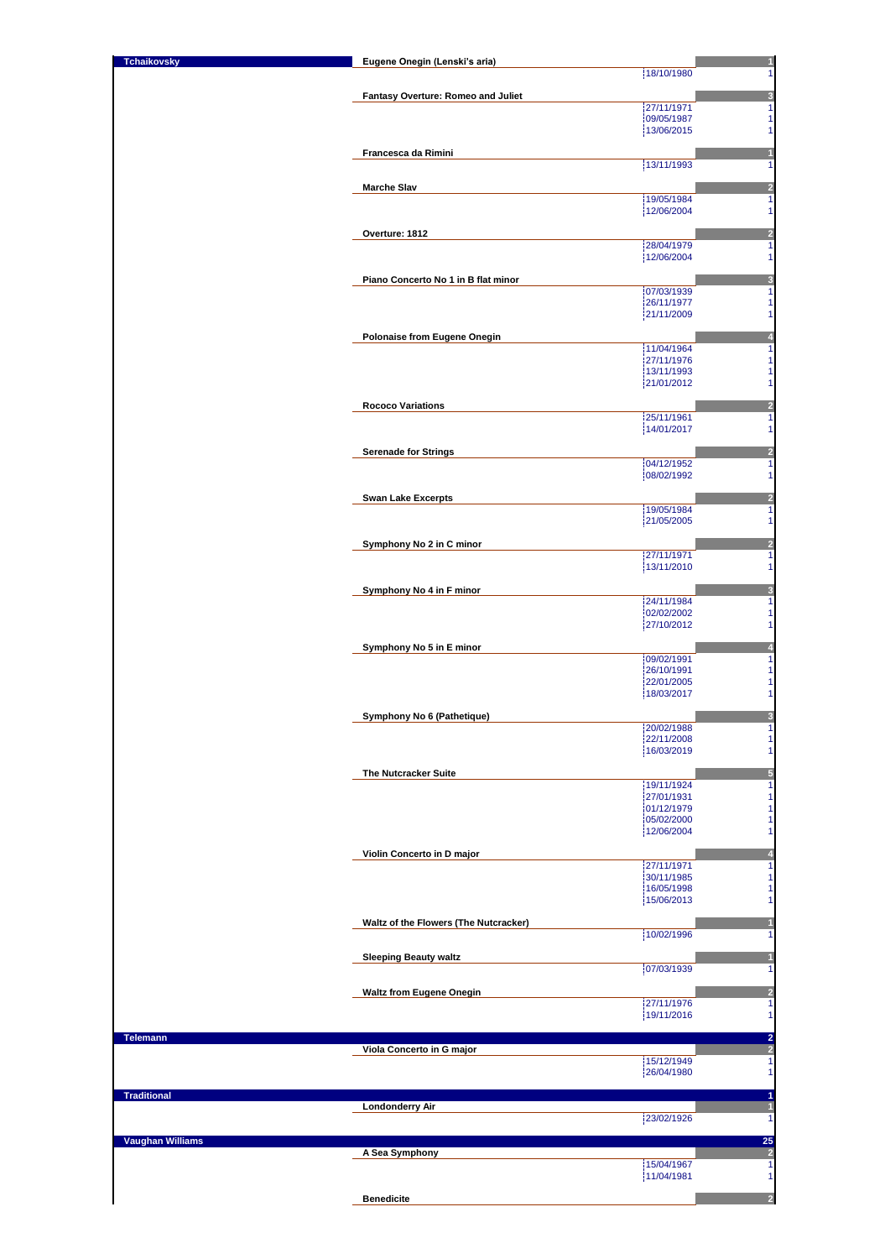| <b>Tchaikovsky</b>      | Eugene Onegin (Lenski's aria)         | $\mathbf{1}$                                                        |
|-------------------------|---------------------------------------|---------------------------------------------------------------------|
|                         |                                       | 18/10/1980<br>1                                                     |
|                         | Fantasy Overture: Romeo and Juliet    | 3                                                                   |
|                         |                                       | 27/11/1971<br>1                                                     |
|                         |                                       | 09/05/1987<br>1<br>13/06/2015<br>1                                  |
|                         |                                       |                                                                     |
|                         | Francesca da Rimini                   | $\mathbf{1}$<br>13/11/1993<br>1                                     |
|                         |                                       |                                                                     |
|                         | <b>Marche Slav</b>                    | $\frac{2}{1}$                                                       |
|                         |                                       | 19/05/1984<br>12/06/2004<br>1                                       |
|                         |                                       |                                                                     |
|                         | Overture: 1812                        | $\frac{2}{1}$<br>28/04/1979                                         |
|                         |                                       | 12/06/2004<br>1                                                     |
|                         |                                       |                                                                     |
|                         | Piano Concerto No 1 in B flat minor   | 3<br>07/03/1939<br>1                                                |
|                         |                                       | 26/11/1977<br>1                                                     |
|                         |                                       | 21/11/2009<br>1                                                     |
|                         | Polonaise from Eugene Onegin          | $\overline{\mathbf{r}}$                                             |
|                         |                                       | $\overline{\mathbf{1}}$<br>11/04/1964                               |
|                         |                                       | 27/11/1976<br>1<br>13/11/1993<br>1                                  |
|                         |                                       | 21/01/2012<br>1                                                     |
|                         |                                       |                                                                     |
|                         | <b>Rococo Variations</b>              | $\overline{\mathbf{c}}$<br>1<br>25/11/1961                          |
|                         |                                       | 1<br>14/01/2017                                                     |
|                         |                                       |                                                                     |
|                         | <b>Serenade for Strings</b>           | $\frac{2}{1}$<br>04/12/1952                                         |
|                         |                                       | 08/02/1992<br>1                                                     |
|                         | <b>Swan Lake Excerpts</b>             |                                                                     |
|                         |                                       | $\frac{2}{1}$<br>19/05/1984                                         |
|                         |                                       | 1<br>21/05/2005                                                     |
|                         | Symphony No 2 in C minor              |                                                                     |
|                         |                                       | $\frac{2}{1}$<br>27/11/1971                                         |
|                         |                                       | 1<br>13/11/2010                                                     |
|                         | Symphony No 4 in F minor              | 3                                                                   |
|                         |                                       | 24/11/1984<br>1                                                     |
|                         |                                       | 02/02/2002<br>1<br>1<br>27/10/2012                                  |
|                         |                                       |                                                                     |
|                         | Symphony No 5 in E minor              | 4<br>09/02/1991<br>1                                                |
|                         |                                       | 26/10/1991<br>$\mathbf{1}$                                          |
|                         |                                       | $\mathbf{1}$<br>22/01/2005                                          |
|                         |                                       | 1<br>18/03/2017                                                     |
|                         | Symphony No 6 (Pathetique)            | 3                                                                   |
|                         |                                       | 20/02/1988<br>1                                                     |
|                         |                                       | 1<br>22/11/2008<br>16/03/2019<br>1                                  |
|                         |                                       |                                                                     |
|                         | The Nutcracker Suite                  | 5<br>19/11/1924<br>1                                                |
|                         |                                       | 1<br>27/01/1931                                                     |
|                         |                                       | $\mathbf{1}$<br>01/12/1979                                          |
|                         |                                       | 1<br>05/02/2000<br>12/06/2004<br>1                                  |
|                         |                                       |                                                                     |
|                         | Violin Concerto in D major            | 4                                                                   |
|                         |                                       | 27/11/1971<br>1<br>30/11/1985<br>1                                  |
|                         |                                       | 16/05/1998<br>1                                                     |
|                         |                                       | 15/06/2013<br>1                                                     |
|                         | Waltz of the Flowers (The Nutcracker) | 1                                                                   |
|                         |                                       | 10/02/1996<br>1                                                     |
|                         | <b>Sleeping Beauty waltz</b>          | 1                                                                   |
|                         |                                       | 07/03/1939<br>1                                                     |
|                         | <b>Waltz from Eugene Onegin</b>       | $\overline{\mathbf{c}}$                                             |
|                         |                                       | $\overline{1}$<br>27/11/1976                                        |
|                         |                                       | 19/11/2016<br>1                                                     |
| <b>Telemann</b>         |                                       |                                                                     |
|                         | Viola Concerto in G major             | $\frac{2}{2}$                                                       |
|                         |                                       | 15/12/1949<br>1<br>26/04/1980                                       |
|                         |                                       |                                                                     |
| <b>Traditional</b>      |                                       | 1                                                                   |
|                         | <b>Londonderry Air</b>                | $\overline{\mathbf{1}}$<br>23/02/1926<br>$\overline{1}$             |
|                         |                                       |                                                                     |
| <b>Vaughan Williams</b> | A Sea Symphony                        | $\begin{array}{c}\n 25 \\  \hline\n 2 \\  \hline\n 1\n \end{array}$ |
|                         |                                       | 15/04/1967                                                          |
|                         |                                       | 11/04/1981<br>1                                                     |
|                         | <b>Benedicite</b>                     | $\overline{a}$                                                      |
|                         |                                       |                                                                     |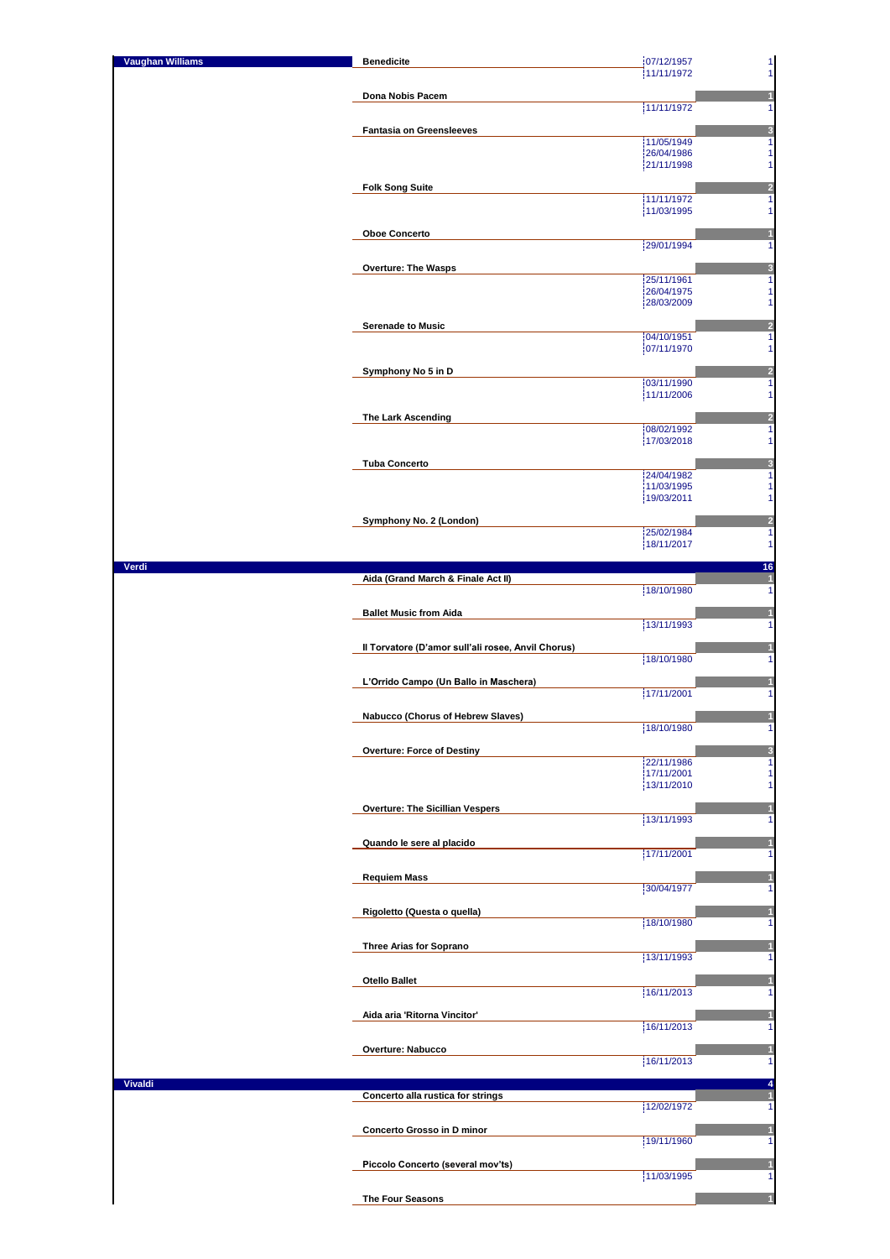| <b>Vaughan Williams</b> | <b>Benedicite</b>                                  | 07/12/1957<br>1<br>11/11/1972<br>1                      |
|-------------------------|----------------------------------------------------|---------------------------------------------------------|
|                         | Dona Nobis Pacem                                   |                                                         |
|                         |                                                    | 11/11/1972<br>1                                         |
|                         | <b>Fantasia on Greensleeves</b>                    | $\frac{3}{1}$<br>11/05/1949<br>26/04/1986<br>1          |
|                         |                                                    | 21/11/1998<br>1                                         |
|                         | <b>Folk Song Suite</b>                             | $\frac{2}{1}$<br>11/11/1972                             |
|                         |                                                    | 11/03/1995<br>1                                         |
|                         | <b>Oboe Concerto</b>                               | 1<br>29/01/1994<br>1                                    |
|                         | <b>Overture: The Wasps</b>                         | 3<br>25/11/1961<br>1                                    |
|                         |                                                    | 26/04/1975<br>1<br>28/03/2009<br>1                      |
|                         | <b>Serenade to Music</b>                           | $\frac{2}{1}$                                           |
|                         |                                                    | 04/10/1951<br>1<br>07/11/1970                           |
|                         | Symphony No 5 in D                                 | $\frac{2}{1}$                                           |
|                         |                                                    | 03/11/1990<br>1<br>11/11/2006                           |
|                         | The Lark Ascending                                 | $\frac{2}{1}$<br>08/02/1992                             |
|                         |                                                    | 17/03/2018<br>1                                         |
|                         | <b>Tuba Concerto</b>                               | $\overline{\mathbf{3}}$<br>$\overline{1}$<br>24/04/1982 |
|                         |                                                    | 11/03/1995<br>1<br>19/03/2011<br>1                      |
|                         | Symphony No. 2 (London)                            | $\frac{2}{1}$<br>25/02/1984                             |
|                         |                                                    | 18/11/2017<br>1                                         |
| Verdi                   | Aida (Grand March & Finale Act II)                 | 16<br>$\overline{1}$                                    |
|                         |                                                    | 18/10/1980<br>1                                         |
|                         | <b>Ballet Music from Aida</b>                      | 1<br>13/11/1993<br>1                                    |
|                         | Il Torvatore (D'amor sull'ali rosee, Anvil Chorus) | 1<br>18/10/1980<br>1                                    |
|                         | L'Orrido Campo (Un Ballo in Maschera)              | 1                                                       |
|                         |                                                    | 17/11/2001<br>1                                         |
|                         | Nabucco (Chorus of Hebrew Slaves)                  | 18/10/1980<br>1                                         |
|                         | <b>Overture: Force of Destiny</b>                  | 3<br>22/11/1986<br>1                                    |
|                         |                                                    | 17/11/2001<br>1<br>13/11/2010<br>1                      |
|                         | <b>Overture: The Sicillian Vespers</b>             | н                                                       |
|                         |                                                    | 13/11/1993<br>1                                         |
|                         | Quando le sere al placido                          | Π<br>17/11/2001<br>1                                    |
|                         | <b>Requiem Mass</b>                                | 30/04/1977<br>1                                         |
|                         | Rigoletto (Questa o quella)                        |                                                         |
|                         |                                                    | 18/10/1980<br>1                                         |
|                         | Three Arias for Soprano                            | 13/11/1993<br>1                                         |
|                         | <b>Otello Ballet</b>                               |                                                         |
|                         | Aida aria 'Ritorna Vincitor'                       | 16/11/2013<br>1<br>1                                    |
|                         |                                                    | 16/11/2013<br>1                                         |
|                         | Overture: Nabucco                                  | 16/11/2013<br>1                                         |
| <b>Vivaldi</b>          |                                                    | 4                                                       |
|                         | Concerto alla rustica for strings                  | 1<br>12/02/1972<br>1                                    |
|                         | Concerto Grosso in D minor                         | 1<br>19/11/1960<br>1                                    |
|                         | Piccolo Concerto (several mov'ts)                  |                                                         |
|                         |                                                    | 11/03/1995<br>1                                         |
|                         | The Four Seasons                                   |                                                         |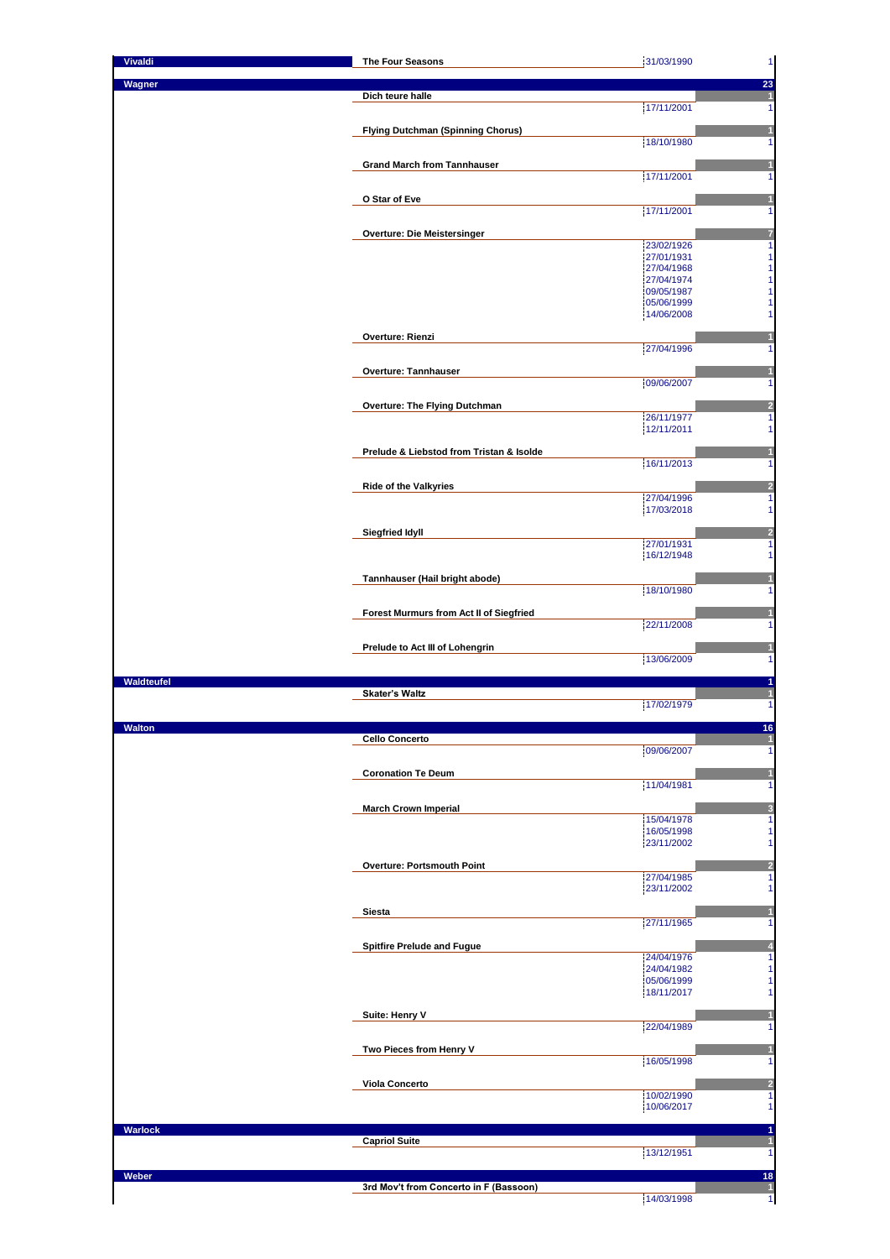| <b>Vivaldi</b> | The Four Seasons                         | 31/03/1990<br>$\mathbf{1}$                                                                                 |
|----------------|------------------------------------------|------------------------------------------------------------------------------------------------------------|
| Wagner         |                                          |                                                                                                            |
|                | Dich teure halle                         | $\frac{23}{1}$                                                                                             |
|                |                                          | 17/11/2001<br>1                                                                                            |
|                | <b>Flying Dutchman (Spinning Chorus)</b> | 1                                                                                                          |
|                |                                          | 18/10/1980<br>1                                                                                            |
|                |                                          |                                                                                                            |
|                | <b>Grand March from Tannhauser</b>       | 1<br>17/11/2001<br>1                                                                                       |
|                |                                          |                                                                                                            |
|                | O Star of Eve                            | 1                                                                                                          |
|                |                                          | 17/11/2001<br>1                                                                                            |
|                | Overture: Die Meistersinger              | 7                                                                                                          |
|                |                                          | $\overline{\mathbf{1}}$<br>23/02/1926                                                                      |
|                |                                          | 1<br>27/01/1931                                                                                            |
|                |                                          | $\begin{array}{c} 1 \\ 1 \end{array}$<br>27/04/1968<br>27/04/1974                                          |
|                |                                          | 1<br>09/05/1987                                                                                            |
|                |                                          | 05/06/1999<br>1                                                                                            |
|                |                                          | 1<br>14/06/2008                                                                                            |
|                | Overture: Rienzi                         | 1                                                                                                          |
|                |                                          | 27/04/1996<br>1                                                                                            |
|                | Overture: Tannhauser                     | 1                                                                                                          |
|                |                                          | 09/06/2007<br>1                                                                                            |
|                |                                          |                                                                                                            |
|                | Overture: The Flying Dutchman            | $\frac{2}{1}$<br>26/11/1977                                                                                |
|                |                                          | 12/11/2011<br>1                                                                                            |
|                |                                          |                                                                                                            |
|                | Prelude & Liebstod from Tristan & Isolde | 1<br>16/11/2013                                                                                            |
|                |                                          | 1                                                                                                          |
|                | <b>Ride of the Valkyries</b>             | $\overline{2}$                                                                                             |
|                |                                          | 1<br>27/04/1996                                                                                            |
|                |                                          | 17/03/2018<br>1                                                                                            |
|                | <b>Siegfried Idyll</b>                   | $\frac{2}{1}$                                                                                              |
|                |                                          | 27/01/1931                                                                                                 |
|                |                                          | 16/12/1948<br>1                                                                                            |
|                | Tannhauser (Hail bright abode)           | 1                                                                                                          |
|                |                                          | 18/10/1980<br>1                                                                                            |
|                |                                          | 1                                                                                                          |
|                | Forest Murmurs from Act II of Siegfried  | 22/11/2008<br>1                                                                                            |
|                |                                          |                                                                                                            |
|                |                                          |                                                                                                            |
|                | Prelude to Act III of Lohengrin          | 1                                                                                                          |
|                |                                          | 13/06/2009<br>1                                                                                            |
| Waldteufel     |                                          | 1                                                                                                          |
|                | <b>Skater's Waltz</b>                    | $\mathbf{1}$                                                                                               |
|                |                                          | 17/02/1979<br>1                                                                                            |
| waiton         |                                          | סו                                                                                                         |
|                | <b>Cello Concerto</b>                    | $\overline{1}$                                                                                             |
|                |                                          | 09/06/2007<br>1                                                                                            |
|                | <b>Coronation Te Deum</b>                | $\mathbf{1}$                                                                                               |
|                |                                          | 11/04/1981<br>1                                                                                            |
|                | <b>March Crown Imperial</b>              |                                                                                                            |
|                |                                          | 3<br>15/04/1978<br>1                                                                                       |
|                |                                          | 16/05/1998<br>23/11/2002                                                                                   |
|                |                                          |                                                                                                            |
|                | <b>Overture: Portsmouth Point</b>        | $\overline{\mathbf{c}}$                                                                                    |
|                |                                          | 27/04/1985                                                                                                 |
|                |                                          | 23/11/2002                                                                                                 |
|                | Siesta                                   | 1                                                                                                          |
|                |                                          | 27/11/1965<br>1                                                                                            |
|                | <b>Spitfire Prelude and Fugue</b>        | 4                                                                                                          |
|                |                                          | 24/04/1976                                                                                                 |
|                |                                          | 1<br>1<br>1<br>1<br>1<br>24/04/1982<br>1<br>05/06/1999<br>1                                                |
|                |                                          | 18/11/2017                                                                                                 |
|                |                                          | 1                                                                                                          |
|                | Suite: Henry V                           | 1<br>1                                                                                                     |
|                |                                          | 22/04/1989                                                                                                 |
|                | Two Pieces from Henry V                  |                                                                                                            |
|                |                                          | 16/05/1998                                                                                                 |
|                | Viola Concerto                           |                                                                                                            |
|                |                                          | 10/02/1990                                                                                                 |
|                |                                          | 10/06/2017                                                                                                 |
| Warlock        |                                          |                                                                                                            |
|                | <b>Capriol Suite</b>                     |                                                                                                            |
|                |                                          | 13/12/1951                                                                                                 |
| Weber          |                                          | 1<br>$\overline{1}$                                                                                        |
|                | 3rd Mov't from Concerto in F (Bassoon)   | 1<br>$\frac{2}{1}$<br>1<br>1<br>$\mathbf{1}$<br>18<br>$\ddot{\phantom{1}}$<br>$\overline{1}$<br>14/03/1998 |